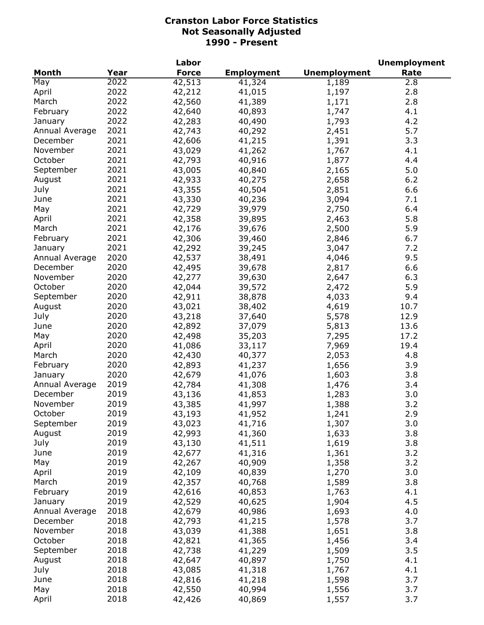| <b>Force</b><br><b>Unemployment</b><br>Year<br><b>Employment</b><br>Rate<br>2022<br>42,513<br>2.8<br>41,324<br>1,189<br>2022<br>42,212<br>2.8<br>April<br>41,015<br>1,197<br>2022<br>2.8<br>42,560<br>41,389<br>1,171<br>2022<br>4.1<br>February<br>42,640<br>40,893<br>1,747<br>2022<br>4.2<br>42,283<br>40,490<br>1,793<br>January<br>2021<br>5.7<br>42,743<br>40,292<br>Annual Average<br>2,451<br>2021<br>3.3<br>December<br>42,606<br>41,215<br>1,391<br>2021<br>4.1<br>November<br>43,029<br>41,262<br>1,767<br>2021<br>October<br>42,793<br>40,916<br>1,877<br>4.4<br>2021<br>5.0<br>September<br>43,005<br>40,840<br>2,165<br>2021<br>42,933<br>6.2<br>August<br>40,275<br>2,658<br>2021<br>July<br>43,355<br>2,851<br>6.6<br>40,504<br>2021<br>43,330<br>3,094<br>7.1<br>June<br>40,236<br>2021<br>42,729<br>2,750<br>39,979<br>6.4<br>May<br>2021<br>42,358<br>5.8<br>39,895<br>2,463<br>April<br>2021<br>42,176<br>2,500<br>March<br>39,676<br>5.9<br>2021<br>42,306<br>2,846<br>February<br>39,460<br>6.7<br>2021<br>42,292<br>3,047<br>7.2<br>39,245<br>January<br>2020<br>4,046<br>9.5<br>Annual Average<br>42,537<br>38,491<br>2020<br>6.6<br>December<br>42,495<br>39,678<br>2,817<br>2020<br>November<br>42,277<br>39,630<br>2,647<br>6.3<br>2020<br>October<br>5.9<br>42,044<br>2,472<br>39,572<br>2020<br>September<br>42,911<br>38,878<br>4,033<br>9.4<br>2020<br>43,021<br>August<br>38,402<br>4,619<br>10.7<br>2020<br>July<br>43,218<br>37,640<br>5,578<br>12.9<br>2020<br>42,892<br>5,813<br>June<br>37,079<br>13.6<br>2020<br>7,295<br>17.2<br>May<br>42,498<br>35,203<br>2020<br>7,969<br>19.4<br>April<br>41,086<br>33,117<br>2020<br>2,053<br>March<br>42,430<br>40,377<br>4.8<br>2020<br>42,893<br>1,656<br>3.9<br>February<br>41,237<br>2020<br>42,679<br>3.8<br>41,076<br>1,603<br>2019<br>42,784<br>41,308<br>1,476<br>3.4<br>2019<br>43,136<br>41,853<br>1,283<br>3.0<br>2019<br>43,385<br>41,997<br>3.2<br>1,388<br>2019<br>2.9<br>October<br>43,193<br>41,952<br>1,241<br>2019<br>43,023<br>41,716<br>1,307<br>3.0<br>2019<br>3.8<br>42,993<br>41,360<br>1,633<br>2019<br>43,130<br>41,511<br>1,619<br>3.8<br>2019<br>42,677<br>41,316<br>1,361<br>3.2<br>2019<br>42,267<br>40,909<br>1,358<br>3.2<br>2019<br>3.0<br>42,109<br>40,839<br>1,270<br>2019<br>42,357<br>40,768<br>1,589<br>3.8<br>2019<br>4.1<br>42,616<br>40,853<br>1,763<br>2019<br>4.5<br>42,529<br>40,625<br>1,904<br>2018<br>4.0<br>Annual Average<br>42,679<br>40,986<br>1,693<br>2018<br>42,793<br>3.7<br>41,215<br>1,578<br>2018<br>43,039<br>1,651<br>3.8<br>November<br>41,388<br>2018<br>42,821<br>41,365<br>1,456<br>3.4<br>2018<br>42,738<br>3.5<br>September<br>41,229<br>1,509<br>2018<br>4.1<br>August<br>42,647<br>40,897<br>1,750<br>July<br>2018<br>4.1<br>43,085<br>41,318<br>1,767<br>2018<br>3.7<br>42,816<br>June<br>41,218<br>1,598 |                |      | Labor  |        |       | <b>Unemployment</b> |
|------------------------------------------------------------------------------------------------------------------------------------------------------------------------------------------------------------------------------------------------------------------------------------------------------------------------------------------------------------------------------------------------------------------------------------------------------------------------------------------------------------------------------------------------------------------------------------------------------------------------------------------------------------------------------------------------------------------------------------------------------------------------------------------------------------------------------------------------------------------------------------------------------------------------------------------------------------------------------------------------------------------------------------------------------------------------------------------------------------------------------------------------------------------------------------------------------------------------------------------------------------------------------------------------------------------------------------------------------------------------------------------------------------------------------------------------------------------------------------------------------------------------------------------------------------------------------------------------------------------------------------------------------------------------------------------------------------------------------------------------------------------------------------------------------------------------------------------------------------------------------------------------------------------------------------------------------------------------------------------------------------------------------------------------------------------------------------------------------------------------------------------------------------------------------------------------------------------------------------------------------------------------------------------------------------------------------------------------------------------------------------------------------------------------------------------------------------------------------------------------------------------------------------------------------------------------------------------------------------------------------------------------------------------------------------------------------------------------------------------------------------------------------------------------------------------------------------------------------------|----------------|------|--------|--------|-------|---------------------|
|                                                                                                                                                                                                                                                                                                                                                                                                                                                                                                                                                                                                                                                                                                                                                                                                                                                                                                                                                                                                                                                                                                                                                                                                                                                                                                                                                                                                                                                                                                                                                                                                                                                                                                                                                                                                                                                                                                                                                                                                                                                                                                                                                                                                                                                                                                                                                                                                                                                                                                                                                                                                                                                                                                                                                                                                                                                            | <b>Month</b>   |      |        |        |       |                     |
|                                                                                                                                                                                                                                                                                                                                                                                                                                                                                                                                                                                                                                                                                                                                                                                                                                                                                                                                                                                                                                                                                                                                                                                                                                                                                                                                                                                                                                                                                                                                                                                                                                                                                                                                                                                                                                                                                                                                                                                                                                                                                                                                                                                                                                                                                                                                                                                                                                                                                                                                                                                                                                                                                                                                                                                                                                                            | May            |      |        |        |       |                     |
|                                                                                                                                                                                                                                                                                                                                                                                                                                                                                                                                                                                                                                                                                                                                                                                                                                                                                                                                                                                                                                                                                                                                                                                                                                                                                                                                                                                                                                                                                                                                                                                                                                                                                                                                                                                                                                                                                                                                                                                                                                                                                                                                                                                                                                                                                                                                                                                                                                                                                                                                                                                                                                                                                                                                                                                                                                                            |                |      |        |        |       |                     |
|                                                                                                                                                                                                                                                                                                                                                                                                                                                                                                                                                                                                                                                                                                                                                                                                                                                                                                                                                                                                                                                                                                                                                                                                                                                                                                                                                                                                                                                                                                                                                                                                                                                                                                                                                                                                                                                                                                                                                                                                                                                                                                                                                                                                                                                                                                                                                                                                                                                                                                                                                                                                                                                                                                                                                                                                                                                            | March          |      |        |        |       |                     |
|                                                                                                                                                                                                                                                                                                                                                                                                                                                                                                                                                                                                                                                                                                                                                                                                                                                                                                                                                                                                                                                                                                                                                                                                                                                                                                                                                                                                                                                                                                                                                                                                                                                                                                                                                                                                                                                                                                                                                                                                                                                                                                                                                                                                                                                                                                                                                                                                                                                                                                                                                                                                                                                                                                                                                                                                                                                            |                |      |        |        |       |                     |
|                                                                                                                                                                                                                                                                                                                                                                                                                                                                                                                                                                                                                                                                                                                                                                                                                                                                                                                                                                                                                                                                                                                                                                                                                                                                                                                                                                                                                                                                                                                                                                                                                                                                                                                                                                                                                                                                                                                                                                                                                                                                                                                                                                                                                                                                                                                                                                                                                                                                                                                                                                                                                                                                                                                                                                                                                                                            |                |      |        |        |       |                     |
|                                                                                                                                                                                                                                                                                                                                                                                                                                                                                                                                                                                                                                                                                                                                                                                                                                                                                                                                                                                                                                                                                                                                                                                                                                                                                                                                                                                                                                                                                                                                                                                                                                                                                                                                                                                                                                                                                                                                                                                                                                                                                                                                                                                                                                                                                                                                                                                                                                                                                                                                                                                                                                                                                                                                                                                                                                                            |                |      |        |        |       |                     |
|                                                                                                                                                                                                                                                                                                                                                                                                                                                                                                                                                                                                                                                                                                                                                                                                                                                                                                                                                                                                                                                                                                                                                                                                                                                                                                                                                                                                                                                                                                                                                                                                                                                                                                                                                                                                                                                                                                                                                                                                                                                                                                                                                                                                                                                                                                                                                                                                                                                                                                                                                                                                                                                                                                                                                                                                                                                            |                |      |        |        |       |                     |
|                                                                                                                                                                                                                                                                                                                                                                                                                                                                                                                                                                                                                                                                                                                                                                                                                                                                                                                                                                                                                                                                                                                                                                                                                                                                                                                                                                                                                                                                                                                                                                                                                                                                                                                                                                                                                                                                                                                                                                                                                                                                                                                                                                                                                                                                                                                                                                                                                                                                                                                                                                                                                                                                                                                                                                                                                                                            |                |      |        |        |       |                     |
|                                                                                                                                                                                                                                                                                                                                                                                                                                                                                                                                                                                                                                                                                                                                                                                                                                                                                                                                                                                                                                                                                                                                                                                                                                                                                                                                                                                                                                                                                                                                                                                                                                                                                                                                                                                                                                                                                                                                                                                                                                                                                                                                                                                                                                                                                                                                                                                                                                                                                                                                                                                                                                                                                                                                                                                                                                                            |                |      |        |        |       |                     |
|                                                                                                                                                                                                                                                                                                                                                                                                                                                                                                                                                                                                                                                                                                                                                                                                                                                                                                                                                                                                                                                                                                                                                                                                                                                                                                                                                                                                                                                                                                                                                                                                                                                                                                                                                                                                                                                                                                                                                                                                                                                                                                                                                                                                                                                                                                                                                                                                                                                                                                                                                                                                                                                                                                                                                                                                                                                            |                |      |        |        |       |                     |
|                                                                                                                                                                                                                                                                                                                                                                                                                                                                                                                                                                                                                                                                                                                                                                                                                                                                                                                                                                                                                                                                                                                                                                                                                                                                                                                                                                                                                                                                                                                                                                                                                                                                                                                                                                                                                                                                                                                                                                                                                                                                                                                                                                                                                                                                                                                                                                                                                                                                                                                                                                                                                                                                                                                                                                                                                                                            |                |      |        |        |       |                     |
|                                                                                                                                                                                                                                                                                                                                                                                                                                                                                                                                                                                                                                                                                                                                                                                                                                                                                                                                                                                                                                                                                                                                                                                                                                                                                                                                                                                                                                                                                                                                                                                                                                                                                                                                                                                                                                                                                                                                                                                                                                                                                                                                                                                                                                                                                                                                                                                                                                                                                                                                                                                                                                                                                                                                                                                                                                                            |                |      |        |        |       |                     |
|                                                                                                                                                                                                                                                                                                                                                                                                                                                                                                                                                                                                                                                                                                                                                                                                                                                                                                                                                                                                                                                                                                                                                                                                                                                                                                                                                                                                                                                                                                                                                                                                                                                                                                                                                                                                                                                                                                                                                                                                                                                                                                                                                                                                                                                                                                                                                                                                                                                                                                                                                                                                                                                                                                                                                                                                                                                            |                |      |        |        |       |                     |
|                                                                                                                                                                                                                                                                                                                                                                                                                                                                                                                                                                                                                                                                                                                                                                                                                                                                                                                                                                                                                                                                                                                                                                                                                                                                                                                                                                                                                                                                                                                                                                                                                                                                                                                                                                                                                                                                                                                                                                                                                                                                                                                                                                                                                                                                                                                                                                                                                                                                                                                                                                                                                                                                                                                                                                                                                                                            |                |      |        |        |       |                     |
|                                                                                                                                                                                                                                                                                                                                                                                                                                                                                                                                                                                                                                                                                                                                                                                                                                                                                                                                                                                                                                                                                                                                                                                                                                                                                                                                                                                                                                                                                                                                                                                                                                                                                                                                                                                                                                                                                                                                                                                                                                                                                                                                                                                                                                                                                                                                                                                                                                                                                                                                                                                                                                                                                                                                                                                                                                                            |                |      |        |        |       |                     |
|                                                                                                                                                                                                                                                                                                                                                                                                                                                                                                                                                                                                                                                                                                                                                                                                                                                                                                                                                                                                                                                                                                                                                                                                                                                                                                                                                                                                                                                                                                                                                                                                                                                                                                                                                                                                                                                                                                                                                                                                                                                                                                                                                                                                                                                                                                                                                                                                                                                                                                                                                                                                                                                                                                                                                                                                                                                            |                |      |        |        |       |                     |
|                                                                                                                                                                                                                                                                                                                                                                                                                                                                                                                                                                                                                                                                                                                                                                                                                                                                                                                                                                                                                                                                                                                                                                                                                                                                                                                                                                                                                                                                                                                                                                                                                                                                                                                                                                                                                                                                                                                                                                                                                                                                                                                                                                                                                                                                                                                                                                                                                                                                                                                                                                                                                                                                                                                                                                                                                                                            |                |      |        |        |       |                     |
|                                                                                                                                                                                                                                                                                                                                                                                                                                                                                                                                                                                                                                                                                                                                                                                                                                                                                                                                                                                                                                                                                                                                                                                                                                                                                                                                                                                                                                                                                                                                                                                                                                                                                                                                                                                                                                                                                                                                                                                                                                                                                                                                                                                                                                                                                                                                                                                                                                                                                                                                                                                                                                                                                                                                                                                                                                                            |                |      |        |        |       |                     |
|                                                                                                                                                                                                                                                                                                                                                                                                                                                                                                                                                                                                                                                                                                                                                                                                                                                                                                                                                                                                                                                                                                                                                                                                                                                                                                                                                                                                                                                                                                                                                                                                                                                                                                                                                                                                                                                                                                                                                                                                                                                                                                                                                                                                                                                                                                                                                                                                                                                                                                                                                                                                                                                                                                                                                                                                                                                            |                |      |        |        |       |                     |
|                                                                                                                                                                                                                                                                                                                                                                                                                                                                                                                                                                                                                                                                                                                                                                                                                                                                                                                                                                                                                                                                                                                                                                                                                                                                                                                                                                                                                                                                                                                                                                                                                                                                                                                                                                                                                                                                                                                                                                                                                                                                                                                                                                                                                                                                                                                                                                                                                                                                                                                                                                                                                                                                                                                                                                                                                                                            |                |      |        |        |       |                     |
|                                                                                                                                                                                                                                                                                                                                                                                                                                                                                                                                                                                                                                                                                                                                                                                                                                                                                                                                                                                                                                                                                                                                                                                                                                                                                                                                                                                                                                                                                                                                                                                                                                                                                                                                                                                                                                                                                                                                                                                                                                                                                                                                                                                                                                                                                                                                                                                                                                                                                                                                                                                                                                                                                                                                                                                                                                                            |                |      |        |        |       |                     |
|                                                                                                                                                                                                                                                                                                                                                                                                                                                                                                                                                                                                                                                                                                                                                                                                                                                                                                                                                                                                                                                                                                                                                                                                                                                                                                                                                                                                                                                                                                                                                                                                                                                                                                                                                                                                                                                                                                                                                                                                                                                                                                                                                                                                                                                                                                                                                                                                                                                                                                                                                                                                                                                                                                                                                                                                                                                            |                |      |        |        |       |                     |
|                                                                                                                                                                                                                                                                                                                                                                                                                                                                                                                                                                                                                                                                                                                                                                                                                                                                                                                                                                                                                                                                                                                                                                                                                                                                                                                                                                                                                                                                                                                                                                                                                                                                                                                                                                                                                                                                                                                                                                                                                                                                                                                                                                                                                                                                                                                                                                                                                                                                                                                                                                                                                                                                                                                                                                                                                                                            |                |      |        |        |       |                     |
|                                                                                                                                                                                                                                                                                                                                                                                                                                                                                                                                                                                                                                                                                                                                                                                                                                                                                                                                                                                                                                                                                                                                                                                                                                                                                                                                                                                                                                                                                                                                                                                                                                                                                                                                                                                                                                                                                                                                                                                                                                                                                                                                                                                                                                                                                                                                                                                                                                                                                                                                                                                                                                                                                                                                                                                                                                                            |                |      |        |        |       |                     |
|                                                                                                                                                                                                                                                                                                                                                                                                                                                                                                                                                                                                                                                                                                                                                                                                                                                                                                                                                                                                                                                                                                                                                                                                                                                                                                                                                                                                                                                                                                                                                                                                                                                                                                                                                                                                                                                                                                                                                                                                                                                                                                                                                                                                                                                                                                                                                                                                                                                                                                                                                                                                                                                                                                                                                                                                                                                            |                |      |        |        |       |                     |
|                                                                                                                                                                                                                                                                                                                                                                                                                                                                                                                                                                                                                                                                                                                                                                                                                                                                                                                                                                                                                                                                                                                                                                                                                                                                                                                                                                                                                                                                                                                                                                                                                                                                                                                                                                                                                                                                                                                                                                                                                                                                                                                                                                                                                                                                                                                                                                                                                                                                                                                                                                                                                                                                                                                                                                                                                                                            |                |      |        |        |       |                     |
|                                                                                                                                                                                                                                                                                                                                                                                                                                                                                                                                                                                                                                                                                                                                                                                                                                                                                                                                                                                                                                                                                                                                                                                                                                                                                                                                                                                                                                                                                                                                                                                                                                                                                                                                                                                                                                                                                                                                                                                                                                                                                                                                                                                                                                                                                                                                                                                                                                                                                                                                                                                                                                                                                                                                                                                                                                                            |                |      |        |        |       |                     |
|                                                                                                                                                                                                                                                                                                                                                                                                                                                                                                                                                                                                                                                                                                                                                                                                                                                                                                                                                                                                                                                                                                                                                                                                                                                                                                                                                                                                                                                                                                                                                                                                                                                                                                                                                                                                                                                                                                                                                                                                                                                                                                                                                                                                                                                                                                                                                                                                                                                                                                                                                                                                                                                                                                                                                                                                                                                            |                |      |        |        |       |                     |
|                                                                                                                                                                                                                                                                                                                                                                                                                                                                                                                                                                                                                                                                                                                                                                                                                                                                                                                                                                                                                                                                                                                                                                                                                                                                                                                                                                                                                                                                                                                                                                                                                                                                                                                                                                                                                                                                                                                                                                                                                                                                                                                                                                                                                                                                                                                                                                                                                                                                                                                                                                                                                                                                                                                                                                                                                                                            |                |      |        |        |       |                     |
|                                                                                                                                                                                                                                                                                                                                                                                                                                                                                                                                                                                                                                                                                                                                                                                                                                                                                                                                                                                                                                                                                                                                                                                                                                                                                                                                                                                                                                                                                                                                                                                                                                                                                                                                                                                                                                                                                                                                                                                                                                                                                                                                                                                                                                                                                                                                                                                                                                                                                                                                                                                                                                                                                                                                                                                                                                                            |                |      |        |        |       |                     |
|                                                                                                                                                                                                                                                                                                                                                                                                                                                                                                                                                                                                                                                                                                                                                                                                                                                                                                                                                                                                                                                                                                                                                                                                                                                                                                                                                                                                                                                                                                                                                                                                                                                                                                                                                                                                                                                                                                                                                                                                                                                                                                                                                                                                                                                                                                                                                                                                                                                                                                                                                                                                                                                                                                                                                                                                                                                            |                |      |        |        |       |                     |
|                                                                                                                                                                                                                                                                                                                                                                                                                                                                                                                                                                                                                                                                                                                                                                                                                                                                                                                                                                                                                                                                                                                                                                                                                                                                                                                                                                                                                                                                                                                                                                                                                                                                                                                                                                                                                                                                                                                                                                                                                                                                                                                                                                                                                                                                                                                                                                                                                                                                                                                                                                                                                                                                                                                                                                                                                                                            | January        |      |        |        |       |                     |
|                                                                                                                                                                                                                                                                                                                                                                                                                                                                                                                                                                                                                                                                                                                                                                                                                                                                                                                                                                                                                                                                                                                                                                                                                                                                                                                                                                                                                                                                                                                                                                                                                                                                                                                                                                                                                                                                                                                                                                                                                                                                                                                                                                                                                                                                                                                                                                                                                                                                                                                                                                                                                                                                                                                                                                                                                                                            | Annual Average |      |        |        |       |                     |
|                                                                                                                                                                                                                                                                                                                                                                                                                                                                                                                                                                                                                                                                                                                                                                                                                                                                                                                                                                                                                                                                                                                                                                                                                                                                                                                                                                                                                                                                                                                                                                                                                                                                                                                                                                                                                                                                                                                                                                                                                                                                                                                                                                                                                                                                                                                                                                                                                                                                                                                                                                                                                                                                                                                                                                                                                                                            | December       |      |        |        |       |                     |
|                                                                                                                                                                                                                                                                                                                                                                                                                                                                                                                                                                                                                                                                                                                                                                                                                                                                                                                                                                                                                                                                                                                                                                                                                                                                                                                                                                                                                                                                                                                                                                                                                                                                                                                                                                                                                                                                                                                                                                                                                                                                                                                                                                                                                                                                                                                                                                                                                                                                                                                                                                                                                                                                                                                                                                                                                                                            | November       |      |        |        |       |                     |
|                                                                                                                                                                                                                                                                                                                                                                                                                                                                                                                                                                                                                                                                                                                                                                                                                                                                                                                                                                                                                                                                                                                                                                                                                                                                                                                                                                                                                                                                                                                                                                                                                                                                                                                                                                                                                                                                                                                                                                                                                                                                                                                                                                                                                                                                                                                                                                                                                                                                                                                                                                                                                                                                                                                                                                                                                                                            |                |      |        |        |       |                     |
|                                                                                                                                                                                                                                                                                                                                                                                                                                                                                                                                                                                                                                                                                                                                                                                                                                                                                                                                                                                                                                                                                                                                                                                                                                                                                                                                                                                                                                                                                                                                                                                                                                                                                                                                                                                                                                                                                                                                                                                                                                                                                                                                                                                                                                                                                                                                                                                                                                                                                                                                                                                                                                                                                                                                                                                                                                                            | September      |      |        |        |       |                     |
|                                                                                                                                                                                                                                                                                                                                                                                                                                                                                                                                                                                                                                                                                                                                                                                                                                                                                                                                                                                                                                                                                                                                                                                                                                                                                                                                                                                                                                                                                                                                                                                                                                                                                                                                                                                                                                                                                                                                                                                                                                                                                                                                                                                                                                                                                                                                                                                                                                                                                                                                                                                                                                                                                                                                                                                                                                                            | August         |      |        |        |       |                     |
|                                                                                                                                                                                                                                                                                                                                                                                                                                                                                                                                                                                                                                                                                                                                                                                                                                                                                                                                                                                                                                                                                                                                                                                                                                                                                                                                                                                                                                                                                                                                                                                                                                                                                                                                                                                                                                                                                                                                                                                                                                                                                                                                                                                                                                                                                                                                                                                                                                                                                                                                                                                                                                                                                                                                                                                                                                                            | July           |      |        |        |       |                     |
|                                                                                                                                                                                                                                                                                                                                                                                                                                                                                                                                                                                                                                                                                                                                                                                                                                                                                                                                                                                                                                                                                                                                                                                                                                                                                                                                                                                                                                                                                                                                                                                                                                                                                                                                                                                                                                                                                                                                                                                                                                                                                                                                                                                                                                                                                                                                                                                                                                                                                                                                                                                                                                                                                                                                                                                                                                                            | June           |      |        |        |       |                     |
|                                                                                                                                                                                                                                                                                                                                                                                                                                                                                                                                                                                                                                                                                                                                                                                                                                                                                                                                                                                                                                                                                                                                                                                                                                                                                                                                                                                                                                                                                                                                                                                                                                                                                                                                                                                                                                                                                                                                                                                                                                                                                                                                                                                                                                                                                                                                                                                                                                                                                                                                                                                                                                                                                                                                                                                                                                                            | May            |      |        |        |       |                     |
|                                                                                                                                                                                                                                                                                                                                                                                                                                                                                                                                                                                                                                                                                                                                                                                                                                                                                                                                                                                                                                                                                                                                                                                                                                                                                                                                                                                                                                                                                                                                                                                                                                                                                                                                                                                                                                                                                                                                                                                                                                                                                                                                                                                                                                                                                                                                                                                                                                                                                                                                                                                                                                                                                                                                                                                                                                                            | April          |      |        |        |       |                     |
|                                                                                                                                                                                                                                                                                                                                                                                                                                                                                                                                                                                                                                                                                                                                                                                                                                                                                                                                                                                                                                                                                                                                                                                                                                                                                                                                                                                                                                                                                                                                                                                                                                                                                                                                                                                                                                                                                                                                                                                                                                                                                                                                                                                                                                                                                                                                                                                                                                                                                                                                                                                                                                                                                                                                                                                                                                                            | March          |      |        |        |       |                     |
|                                                                                                                                                                                                                                                                                                                                                                                                                                                                                                                                                                                                                                                                                                                                                                                                                                                                                                                                                                                                                                                                                                                                                                                                                                                                                                                                                                                                                                                                                                                                                                                                                                                                                                                                                                                                                                                                                                                                                                                                                                                                                                                                                                                                                                                                                                                                                                                                                                                                                                                                                                                                                                                                                                                                                                                                                                                            | February       |      |        |        |       |                     |
|                                                                                                                                                                                                                                                                                                                                                                                                                                                                                                                                                                                                                                                                                                                                                                                                                                                                                                                                                                                                                                                                                                                                                                                                                                                                                                                                                                                                                                                                                                                                                                                                                                                                                                                                                                                                                                                                                                                                                                                                                                                                                                                                                                                                                                                                                                                                                                                                                                                                                                                                                                                                                                                                                                                                                                                                                                                            | January        |      |        |        |       |                     |
|                                                                                                                                                                                                                                                                                                                                                                                                                                                                                                                                                                                                                                                                                                                                                                                                                                                                                                                                                                                                                                                                                                                                                                                                                                                                                                                                                                                                                                                                                                                                                                                                                                                                                                                                                                                                                                                                                                                                                                                                                                                                                                                                                                                                                                                                                                                                                                                                                                                                                                                                                                                                                                                                                                                                                                                                                                                            |                |      |        |        |       |                     |
|                                                                                                                                                                                                                                                                                                                                                                                                                                                                                                                                                                                                                                                                                                                                                                                                                                                                                                                                                                                                                                                                                                                                                                                                                                                                                                                                                                                                                                                                                                                                                                                                                                                                                                                                                                                                                                                                                                                                                                                                                                                                                                                                                                                                                                                                                                                                                                                                                                                                                                                                                                                                                                                                                                                                                                                                                                                            | December       |      |        |        |       |                     |
|                                                                                                                                                                                                                                                                                                                                                                                                                                                                                                                                                                                                                                                                                                                                                                                                                                                                                                                                                                                                                                                                                                                                                                                                                                                                                                                                                                                                                                                                                                                                                                                                                                                                                                                                                                                                                                                                                                                                                                                                                                                                                                                                                                                                                                                                                                                                                                                                                                                                                                                                                                                                                                                                                                                                                                                                                                                            |                |      |        |        |       |                     |
|                                                                                                                                                                                                                                                                                                                                                                                                                                                                                                                                                                                                                                                                                                                                                                                                                                                                                                                                                                                                                                                                                                                                                                                                                                                                                                                                                                                                                                                                                                                                                                                                                                                                                                                                                                                                                                                                                                                                                                                                                                                                                                                                                                                                                                                                                                                                                                                                                                                                                                                                                                                                                                                                                                                                                                                                                                                            | October        |      |        |        |       |                     |
|                                                                                                                                                                                                                                                                                                                                                                                                                                                                                                                                                                                                                                                                                                                                                                                                                                                                                                                                                                                                                                                                                                                                                                                                                                                                                                                                                                                                                                                                                                                                                                                                                                                                                                                                                                                                                                                                                                                                                                                                                                                                                                                                                                                                                                                                                                                                                                                                                                                                                                                                                                                                                                                                                                                                                                                                                                                            |                |      |        |        |       |                     |
|                                                                                                                                                                                                                                                                                                                                                                                                                                                                                                                                                                                                                                                                                                                                                                                                                                                                                                                                                                                                                                                                                                                                                                                                                                                                                                                                                                                                                                                                                                                                                                                                                                                                                                                                                                                                                                                                                                                                                                                                                                                                                                                                                                                                                                                                                                                                                                                                                                                                                                                                                                                                                                                                                                                                                                                                                                                            |                |      |        |        |       |                     |
|                                                                                                                                                                                                                                                                                                                                                                                                                                                                                                                                                                                                                                                                                                                                                                                                                                                                                                                                                                                                                                                                                                                                                                                                                                                                                                                                                                                                                                                                                                                                                                                                                                                                                                                                                                                                                                                                                                                                                                                                                                                                                                                                                                                                                                                                                                                                                                                                                                                                                                                                                                                                                                                                                                                                                                                                                                                            |                |      |        |        |       |                     |
|                                                                                                                                                                                                                                                                                                                                                                                                                                                                                                                                                                                                                                                                                                                                                                                                                                                                                                                                                                                                                                                                                                                                                                                                                                                                                                                                                                                                                                                                                                                                                                                                                                                                                                                                                                                                                                                                                                                                                                                                                                                                                                                                                                                                                                                                                                                                                                                                                                                                                                                                                                                                                                                                                                                                                                                                                                                            |                |      |        |        |       |                     |
|                                                                                                                                                                                                                                                                                                                                                                                                                                                                                                                                                                                                                                                                                                                                                                                                                                                                                                                                                                                                                                                                                                                                                                                                                                                                                                                                                                                                                                                                                                                                                                                                                                                                                                                                                                                                                                                                                                                                                                                                                                                                                                                                                                                                                                                                                                                                                                                                                                                                                                                                                                                                                                                                                                                                                                                                                                                            | May            | 2018 | 42,550 | 40,994 | 1,556 | 3.7                 |
| 2018<br>3.7<br>42,426<br>40,869<br>1,557                                                                                                                                                                                                                                                                                                                                                                                                                                                                                                                                                                                                                                                                                                                                                                                                                                                                                                                                                                                                                                                                                                                                                                                                                                                                                                                                                                                                                                                                                                                                                                                                                                                                                                                                                                                                                                                                                                                                                                                                                                                                                                                                                                                                                                                                                                                                                                                                                                                                                                                                                                                                                                                                                                                                                                                                                   | April          |      |        |        |       |                     |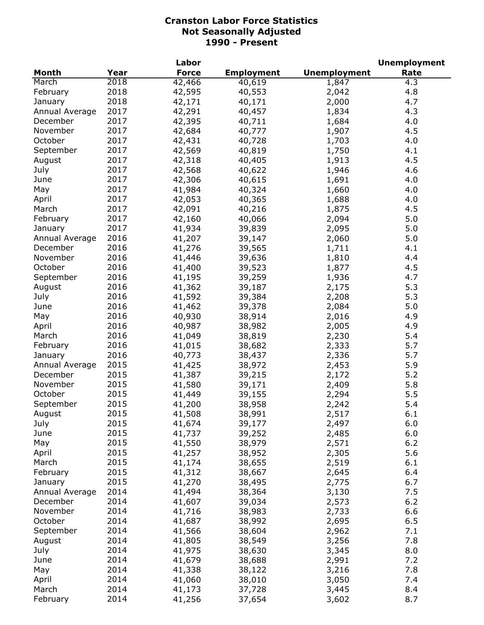| <b>Month</b><br>Year<br><b>Force</b><br><b>Employment</b><br><b>Unemployment</b><br>Rate<br>2018<br>March<br>42,466<br>4.3<br>40,619<br>1,847<br>2018<br>4.8<br>February<br>42,595<br>40,553<br>2,042<br>2018<br>4.7<br>42,171<br>40,171<br>2,000<br>January<br>2017<br>4.3<br>Annual Average<br>42,291<br>40,457<br>1,834<br>2017<br>December<br>42,395<br>40,711<br>4.0<br>1,684<br>2017<br>November<br>42,684<br>40,777<br>1,907<br>4.5<br>2017<br>October<br>42,431<br>40,728<br>1,703<br>4.0<br>2017<br>4.1<br>September<br>42,569<br>40,819<br>1,750<br>2017<br>4.5<br>August<br>42,318<br>40,405<br>1,913<br>2017<br>July<br>1,946<br>42,568<br>40,622<br>4.6<br>2017<br>42,306<br>1,691<br>4.0<br>June<br>40,615<br>2017<br>41,984<br>1,660<br>4.0<br>May<br>40,324<br>2017<br>42,053<br>40,365<br>1,688<br>4.0<br>April<br>2017<br>42,091<br>1,875<br>40,216<br>4.5<br>March<br>2017<br>42,160<br>2,094<br>5.0<br>February<br>40,066<br>2017<br>41,934<br>2,095<br>5.0<br>39,839<br>January<br>2016<br>41,207<br>2,060<br>5.0<br>Annual Average<br>39,147<br>2016<br>41,276<br>4.1<br>December<br>39,565<br>1,711<br>2016<br>November<br>41,446<br>4.4<br>39,636<br>1,810<br>2016<br>October<br>41,400<br>4.5<br>39,523<br>1,877<br>2016<br>September<br>41,195<br>39,259<br>1,936<br>4.7<br>2016<br>5.3<br>August<br>41,362<br>39,187<br>2,175<br>2016<br>5.3<br>July<br>41,592<br>39,384<br>2,208<br>June<br>2016<br>5.0<br>41,462<br>39,378<br>2,084<br>2016<br>40,930<br>2,016<br>4.9<br>May<br>38,914<br>2016<br>40,987<br>2,005<br>4.9<br>April<br>38,982<br>2016<br>2,230<br>5.4<br>March<br>41,049<br>38,819<br>5.7<br>2016<br>41,015<br>2,333<br>February<br>38,682<br>2016<br>40,773<br>2,336<br>5.7<br>38,437<br>January<br>2015<br>41,425<br>2,453<br>5.9<br>38,972<br>Annual Average<br>2015<br>41,387<br>39,215<br>2,172<br>5.2<br>December<br>November<br>2015<br>41,580<br>39,171<br>2,409<br>5.8<br>October<br>2015<br>41,449<br>2,294<br>5.5<br>39,155<br>2015<br>September<br>41,200<br>5.4<br>38,958<br>2,242<br>2015<br>6.1<br>41,508<br>2,517<br>August<br>38,991<br>2015<br>July<br>41,674<br>2,497<br>6.0<br>39,177<br>2015<br>6.0<br>June<br>41,737<br>39,252<br>2,485<br>2015<br>May<br>41,550<br>38,979<br>2,571<br>6.2<br>2015<br>41,257<br>2,305<br>5.6<br>April<br>38,952<br>2015<br>March<br>41,174<br>38,655<br>2,519<br>6.1<br>2015<br>February<br>41,312<br>38,667<br>2,645<br>6.4<br>2015<br>41,270<br>38,495<br>2,775<br>6.7<br>January<br>2014<br>7.5<br>Annual Average<br>41,494<br>38,364<br>3,130<br>2014<br>2,573<br>6.2<br>December<br>41,607<br>39,034<br>2014<br>November<br>41,716<br>38,983<br>2,733<br>6.6 |         |      | Labor  |        |       | <b>Unemployment</b> |
|--------------------------------------------------------------------------------------------------------------------------------------------------------------------------------------------------------------------------------------------------------------------------------------------------------------------------------------------------------------------------------------------------------------------------------------------------------------------------------------------------------------------------------------------------------------------------------------------------------------------------------------------------------------------------------------------------------------------------------------------------------------------------------------------------------------------------------------------------------------------------------------------------------------------------------------------------------------------------------------------------------------------------------------------------------------------------------------------------------------------------------------------------------------------------------------------------------------------------------------------------------------------------------------------------------------------------------------------------------------------------------------------------------------------------------------------------------------------------------------------------------------------------------------------------------------------------------------------------------------------------------------------------------------------------------------------------------------------------------------------------------------------------------------------------------------------------------------------------------------------------------------------------------------------------------------------------------------------------------------------------------------------------------------------------------------------------------------------------------------------------------------------------------------------------------------------------------------------------------------------------------------------------------------------------------------------------------------------------------------------------------------------------------------------------------------------------------------------------------------------------------------------------------------------------------------------------------------------------------------------------------------------------------------------|---------|------|--------|--------|-------|---------------------|
|                                                                                                                                                                                                                                                                                                                                                                                                                                                                                                                                                                                                                                                                                                                                                                                                                                                                                                                                                                                                                                                                                                                                                                                                                                                                                                                                                                                                                                                                                                                                                                                                                                                                                                                                                                                                                                                                                                                                                                                                                                                                                                                                                                                                                                                                                                                                                                                                                                                                                                                                                                                                                                                                    |         |      |        |        |       |                     |
|                                                                                                                                                                                                                                                                                                                                                                                                                                                                                                                                                                                                                                                                                                                                                                                                                                                                                                                                                                                                                                                                                                                                                                                                                                                                                                                                                                                                                                                                                                                                                                                                                                                                                                                                                                                                                                                                                                                                                                                                                                                                                                                                                                                                                                                                                                                                                                                                                                                                                                                                                                                                                                                                    |         |      |        |        |       |                     |
|                                                                                                                                                                                                                                                                                                                                                                                                                                                                                                                                                                                                                                                                                                                                                                                                                                                                                                                                                                                                                                                                                                                                                                                                                                                                                                                                                                                                                                                                                                                                                                                                                                                                                                                                                                                                                                                                                                                                                                                                                                                                                                                                                                                                                                                                                                                                                                                                                                                                                                                                                                                                                                                                    |         |      |        |        |       |                     |
|                                                                                                                                                                                                                                                                                                                                                                                                                                                                                                                                                                                                                                                                                                                                                                                                                                                                                                                                                                                                                                                                                                                                                                                                                                                                                                                                                                                                                                                                                                                                                                                                                                                                                                                                                                                                                                                                                                                                                                                                                                                                                                                                                                                                                                                                                                                                                                                                                                                                                                                                                                                                                                                                    |         |      |        |        |       |                     |
|                                                                                                                                                                                                                                                                                                                                                                                                                                                                                                                                                                                                                                                                                                                                                                                                                                                                                                                                                                                                                                                                                                                                                                                                                                                                                                                                                                                                                                                                                                                                                                                                                                                                                                                                                                                                                                                                                                                                                                                                                                                                                                                                                                                                                                                                                                                                                                                                                                                                                                                                                                                                                                                                    |         |      |        |        |       |                     |
|                                                                                                                                                                                                                                                                                                                                                                                                                                                                                                                                                                                                                                                                                                                                                                                                                                                                                                                                                                                                                                                                                                                                                                                                                                                                                                                                                                                                                                                                                                                                                                                                                                                                                                                                                                                                                                                                                                                                                                                                                                                                                                                                                                                                                                                                                                                                                                                                                                                                                                                                                                                                                                                                    |         |      |        |        |       |                     |
|                                                                                                                                                                                                                                                                                                                                                                                                                                                                                                                                                                                                                                                                                                                                                                                                                                                                                                                                                                                                                                                                                                                                                                                                                                                                                                                                                                                                                                                                                                                                                                                                                                                                                                                                                                                                                                                                                                                                                                                                                                                                                                                                                                                                                                                                                                                                                                                                                                                                                                                                                                                                                                                                    |         |      |        |        |       |                     |
|                                                                                                                                                                                                                                                                                                                                                                                                                                                                                                                                                                                                                                                                                                                                                                                                                                                                                                                                                                                                                                                                                                                                                                                                                                                                                                                                                                                                                                                                                                                                                                                                                                                                                                                                                                                                                                                                                                                                                                                                                                                                                                                                                                                                                                                                                                                                                                                                                                                                                                                                                                                                                                                                    |         |      |        |        |       |                     |
|                                                                                                                                                                                                                                                                                                                                                                                                                                                                                                                                                                                                                                                                                                                                                                                                                                                                                                                                                                                                                                                                                                                                                                                                                                                                                                                                                                                                                                                                                                                                                                                                                                                                                                                                                                                                                                                                                                                                                                                                                                                                                                                                                                                                                                                                                                                                                                                                                                                                                                                                                                                                                                                                    |         |      |        |        |       |                     |
|                                                                                                                                                                                                                                                                                                                                                                                                                                                                                                                                                                                                                                                                                                                                                                                                                                                                                                                                                                                                                                                                                                                                                                                                                                                                                                                                                                                                                                                                                                                                                                                                                                                                                                                                                                                                                                                                                                                                                                                                                                                                                                                                                                                                                                                                                                                                                                                                                                                                                                                                                                                                                                                                    |         |      |        |        |       |                     |
|                                                                                                                                                                                                                                                                                                                                                                                                                                                                                                                                                                                                                                                                                                                                                                                                                                                                                                                                                                                                                                                                                                                                                                                                                                                                                                                                                                                                                                                                                                                                                                                                                                                                                                                                                                                                                                                                                                                                                                                                                                                                                                                                                                                                                                                                                                                                                                                                                                                                                                                                                                                                                                                                    |         |      |        |        |       |                     |
|                                                                                                                                                                                                                                                                                                                                                                                                                                                                                                                                                                                                                                                                                                                                                                                                                                                                                                                                                                                                                                                                                                                                                                                                                                                                                                                                                                                                                                                                                                                                                                                                                                                                                                                                                                                                                                                                                                                                                                                                                                                                                                                                                                                                                                                                                                                                                                                                                                                                                                                                                                                                                                                                    |         |      |        |        |       |                     |
|                                                                                                                                                                                                                                                                                                                                                                                                                                                                                                                                                                                                                                                                                                                                                                                                                                                                                                                                                                                                                                                                                                                                                                                                                                                                                                                                                                                                                                                                                                                                                                                                                                                                                                                                                                                                                                                                                                                                                                                                                                                                                                                                                                                                                                                                                                                                                                                                                                                                                                                                                                                                                                                                    |         |      |        |        |       |                     |
|                                                                                                                                                                                                                                                                                                                                                                                                                                                                                                                                                                                                                                                                                                                                                                                                                                                                                                                                                                                                                                                                                                                                                                                                                                                                                                                                                                                                                                                                                                                                                                                                                                                                                                                                                                                                                                                                                                                                                                                                                                                                                                                                                                                                                                                                                                                                                                                                                                                                                                                                                                                                                                                                    |         |      |        |        |       |                     |
|                                                                                                                                                                                                                                                                                                                                                                                                                                                                                                                                                                                                                                                                                                                                                                                                                                                                                                                                                                                                                                                                                                                                                                                                                                                                                                                                                                                                                                                                                                                                                                                                                                                                                                                                                                                                                                                                                                                                                                                                                                                                                                                                                                                                                                                                                                                                                                                                                                                                                                                                                                                                                                                                    |         |      |        |        |       |                     |
|                                                                                                                                                                                                                                                                                                                                                                                                                                                                                                                                                                                                                                                                                                                                                                                                                                                                                                                                                                                                                                                                                                                                                                                                                                                                                                                                                                                                                                                                                                                                                                                                                                                                                                                                                                                                                                                                                                                                                                                                                                                                                                                                                                                                                                                                                                                                                                                                                                                                                                                                                                                                                                                                    |         |      |        |        |       |                     |
|                                                                                                                                                                                                                                                                                                                                                                                                                                                                                                                                                                                                                                                                                                                                                                                                                                                                                                                                                                                                                                                                                                                                                                                                                                                                                                                                                                                                                                                                                                                                                                                                                                                                                                                                                                                                                                                                                                                                                                                                                                                                                                                                                                                                                                                                                                                                                                                                                                                                                                                                                                                                                                                                    |         |      |        |        |       |                     |
|                                                                                                                                                                                                                                                                                                                                                                                                                                                                                                                                                                                                                                                                                                                                                                                                                                                                                                                                                                                                                                                                                                                                                                                                                                                                                                                                                                                                                                                                                                                                                                                                                                                                                                                                                                                                                                                                                                                                                                                                                                                                                                                                                                                                                                                                                                                                                                                                                                                                                                                                                                                                                                                                    |         |      |        |        |       |                     |
|                                                                                                                                                                                                                                                                                                                                                                                                                                                                                                                                                                                                                                                                                                                                                                                                                                                                                                                                                                                                                                                                                                                                                                                                                                                                                                                                                                                                                                                                                                                                                                                                                                                                                                                                                                                                                                                                                                                                                                                                                                                                                                                                                                                                                                                                                                                                                                                                                                                                                                                                                                                                                                                                    |         |      |        |        |       |                     |
|                                                                                                                                                                                                                                                                                                                                                                                                                                                                                                                                                                                                                                                                                                                                                                                                                                                                                                                                                                                                                                                                                                                                                                                                                                                                                                                                                                                                                                                                                                                                                                                                                                                                                                                                                                                                                                                                                                                                                                                                                                                                                                                                                                                                                                                                                                                                                                                                                                                                                                                                                                                                                                                                    |         |      |        |        |       |                     |
|                                                                                                                                                                                                                                                                                                                                                                                                                                                                                                                                                                                                                                                                                                                                                                                                                                                                                                                                                                                                                                                                                                                                                                                                                                                                                                                                                                                                                                                                                                                                                                                                                                                                                                                                                                                                                                                                                                                                                                                                                                                                                                                                                                                                                                                                                                                                                                                                                                                                                                                                                                                                                                                                    |         |      |        |        |       |                     |
|                                                                                                                                                                                                                                                                                                                                                                                                                                                                                                                                                                                                                                                                                                                                                                                                                                                                                                                                                                                                                                                                                                                                                                                                                                                                                                                                                                                                                                                                                                                                                                                                                                                                                                                                                                                                                                                                                                                                                                                                                                                                                                                                                                                                                                                                                                                                                                                                                                                                                                                                                                                                                                                                    |         |      |        |        |       |                     |
|                                                                                                                                                                                                                                                                                                                                                                                                                                                                                                                                                                                                                                                                                                                                                                                                                                                                                                                                                                                                                                                                                                                                                                                                                                                                                                                                                                                                                                                                                                                                                                                                                                                                                                                                                                                                                                                                                                                                                                                                                                                                                                                                                                                                                                                                                                                                                                                                                                                                                                                                                                                                                                                                    |         |      |        |        |       |                     |
|                                                                                                                                                                                                                                                                                                                                                                                                                                                                                                                                                                                                                                                                                                                                                                                                                                                                                                                                                                                                                                                                                                                                                                                                                                                                                                                                                                                                                                                                                                                                                                                                                                                                                                                                                                                                                                                                                                                                                                                                                                                                                                                                                                                                                                                                                                                                                                                                                                                                                                                                                                                                                                                                    |         |      |        |        |       |                     |
|                                                                                                                                                                                                                                                                                                                                                                                                                                                                                                                                                                                                                                                                                                                                                                                                                                                                                                                                                                                                                                                                                                                                                                                                                                                                                                                                                                                                                                                                                                                                                                                                                                                                                                                                                                                                                                                                                                                                                                                                                                                                                                                                                                                                                                                                                                                                                                                                                                                                                                                                                                                                                                                                    |         |      |        |        |       |                     |
|                                                                                                                                                                                                                                                                                                                                                                                                                                                                                                                                                                                                                                                                                                                                                                                                                                                                                                                                                                                                                                                                                                                                                                                                                                                                                                                                                                                                                                                                                                                                                                                                                                                                                                                                                                                                                                                                                                                                                                                                                                                                                                                                                                                                                                                                                                                                                                                                                                                                                                                                                                                                                                                                    |         |      |        |        |       |                     |
|                                                                                                                                                                                                                                                                                                                                                                                                                                                                                                                                                                                                                                                                                                                                                                                                                                                                                                                                                                                                                                                                                                                                                                                                                                                                                                                                                                                                                                                                                                                                                                                                                                                                                                                                                                                                                                                                                                                                                                                                                                                                                                                                                                                                                                                                                                                                                                                                                                                                                                                                                                                                                                                                    |         |      |        |        |       |                     |
|                                                                                                                                                                                                                                                                                                                                                                                                                                                                                                                                                                                                                                                                                                                                                                                                                                                                                                                                                                                                                                                                                                                                                                                                                                                                                                                                                                                                                                                                                                                                                                                                                                                                                                                                                                                                                                                                                                                                                                                                                                                                                                                                                                                                                                                                                                                                                                                                                                                                                                                                                                                                                                                                    |         |      |        |        |       |                     |
|                                                                                                                                                                                                                                                                                                                                                                                                                                                                                                                                                                                                                                                                                                                                                                                                                                                                                                                                                                                                                                                                                                                                                                                                                                                                                                                                                                                                                                                                                                                                                                                                                                                                                                                                                                                                                                                                                                                                                                                                                                                                                                                                                                                                                                                                                                                                                                                                                                                                                                                                                                                                                                                                    |         |      |        |        |       |                     |
|                                                                                                                                                                                                                                                                                                                                                                                                                                                                                                                                                                                                                                                                                                                                                                                                                                                                                                                                                                                                                                                                                                                                                                                                                                                                                                                                                                                                                                                                                                                                                                                                                                                                                                                                                                                                                                                                                                                                                                                                                                                                                                                                                                                                                                                                                                                                                                                                                                                                                                                                                                                                                                                                    |         |      |        |        |       |                     |
|                                                                                                                                                                                                                                                                                                                                                                                                                                                                                                                                                                                                                                                                                                                                                                                                                                                                                                                                                                                                                                                                                                                                                                                                                                                                                                                                                                                                                                                                                                                                                                                                                                                                                                                                                                                                                                                                                                                                                                                                                                                                                                                                                                                                                                                                                                                                                                                                                                                                                                                                                                                                                                                                    |         |      |        |        |       |                     |
|                                                                                                                                                                                                                                                                                                                                                                                                                                                                                                                                                                                                                                                                                                                                                                                                                                                                                                                                                                                                                                                                                                                                                                                                                                                                                                                                                                                                                                                                                                                                                                                                                                                                                                                                                                                                                                                                                                                                                                                                                                                                                                                                                                                                                                                                                                                                                                                                                                                                                                                                                                                                                                                                    |         |      |        |        |       |                     |
|                                                                                                                                                                                                                                                                                                                                                                                                                                                                                                                                                                                                                                                                                                                                                                                                                                                                                                                                                                                                                                                                                                                                                                                                                                                                                                                                                                                                                                                                                                                                                                                                                                                                                                                                                                                                                                                                                                                                                                                                                                                                                                                                                                                                                                                                                                                                                                                                                                                                                                                                                                                                                                                                    |         |      |        |        |       |                     |
|                                                                                                                                                                                                                                                                                                                                                                                                                                                                                                                                                                                                                                                                                                                                                                                                                                                                                                                                                                                                                                                                                                                                                                                                                                                                                                                                                                                                                                                                                                                                                                                                                                                                                                                                                                                                                                                                                                                                                                                                                                                                                                                                                                                                                                                                                                                                                                                                                                                                                                                                                                                                                                                                    |         |      |        |        |       |                     |
|                                                                                                                                                                                                                                                                                                                                                                                                                                                                                                                                                                                                                                                                                                                                                                                                                                                                                                                                                                                                                                                                                                                                                                                                                                                                                                                                                                                                                                                                                                                                                                                                                                                                                                                                                                                                                                                                                                                                                                                                                                                                                                                                                                                                                                                                                                                                                                                                                                                                                                                                                                                                                                                                    |         |      |        |        |       |                     |
|                                                                                                                                                                                                                                                                                                                                                                                                                                                                                                                                                                                                                                                                                                                                                                                                                                                                                                                                                                                                                                                                                                                                                                                                                                                                                                                                                                                                                                                                                                                                                                                                                                                                                                                                                                                                                                                                                                                                                                                                                                                                                                                                                                                                                                                                                                                                                                                                                                                                                                                                                                                                                                                                    |         |      |        |        |       |                     |
|                                                                                                                                                                                                                                                                                                                                                                                                                                                                                                                                                                                                                                                                                                                                                                                                                                                                                                                                                                                                                                                                                                                                                                                                                                                                                                                                                                                                                                                                                                                                                                                                                                                                                                                                                                                                                                                                                                                                                                                                                                                                                                                                                                                                                                                                                                                                                                                                                                                                                                                                                                                                                                                                    |         |      |        |        |       |                     |
|                                                                                                                                                                                                                                                                                                                                                                                                                                                                                                                                                                                                                                                                                                                                                                                                                                                                                                                                                                                                                                                                                                                                                                                                                                                                                                                                                                                                                                                                                                                                                                                                                                                                                                                                                                                                                                                                                                                                                                                                                                                                                                                                                                                                                                                                                                                                                                                                                                                                                                                                                                                                                                                                    |         |      |        |        |       |                     |
|                                                                                                                                                                                                                                                                                                                                                                                                                                                                                                                                                                                                                                                                                                                                                                                                                                                                                                                                                                                                                                                                                                                                                                                                                                                                                                                                                                                                                                                                                                                                                                                                                                                                                                                                                                                                                                                                                                                                                                                                                                                                                                                                                                                                                                                                                                                                                                                                                                                                                                                                                                                                                                                                    |         |      |        |        |       |                     |
|                                                                                                                                                                                                                                                                                                                                                                                                                                                                                                                                                                                                                                                                                                                                                                                                                                                                                                                                                                                                                                                                                                                                                                                                                                                                                                                                                                                                                                                                                                                                                                                                                                                                                                                                                                                                                                                                                                                                                                                                                                                                                                                                                                                                                                                                                                                                                                                                                                                                                                                                                                                                                                                                    |         |      |        |        |       |                     |
|                                                                                                                                                                                                                                                                                                                                                                                                                                                                                                                                                                                                                                                                                                                                                                                                                                                                                                                                                                                                                                                                                                                                                                                                                                                                                                                                                                                                                                                                                                                                                                                                                                                                                                                                                                                                                                                                                                                                                                                                                                                                                                                                                                                                                                                                                                                                                                                                                                                                                                                                                                                                                                                                    |         |      |        |        |       |                     |
|                                                                                                                                                                                                                                                                                                                                                                                                                                                                                                                                                                                                                                                                                                                                                                                                                                                                                                                                                                                                                                                                                                                                                                                                                                                                                                                                                                                                                                                                                                                                                                                                                                                                                                                                                                                                                                                                                                                                                                                                                                                                                                                                                                                                                                                                                                                                                                                                                                                                                                                                                                                                                                                                    |         |      |        |        |       |                     |
|                                                                                                                                                                                                                                                                                                                                                                                                                                                                                                                                                                                                                                                                                                                                                                                                                                                                                                                                                                                                                                                                                                                                                                                                                                                                                                                                                                                                                                                                                                                                                                                                                                                                                                                                                                                                                                                                                                                                                                                                                                                                                                                                                                                                                                                                                                                                                                                                                                                                                                                                                                                                                                                                    |         |      |        |        |       |                     |
|                                                                                                                                                                                                                                                                                                                                                                                                                                                                                                                                                                                                                                                                                                                                                                                                                                                                                                                                                                                                                                                                                                                                                                                                                                                                                                                                                                                                                                                                                                                                                                                                                                                                                                                                                                                                                                                                                                                                                                                                                                                                                                                                                                                                                                                                                                                                                                                                                                                                                                                                                                                                                                                                    |         |      |        |        |       |                     |
|                                                                                                                                                                                                                                                                                                                                                                                                                                                                                                                                                                                                                                                                                                                                                                                                                                                                                                                                                                                                                                                                                                                                                                                                                                                                                                                                                                                                                                                                                                                                                                                                                                                                                                                                                                                                                                                                                                                                                                                                                                                                                                                                                                                                                                                                                                                                                                                                                                                                                                                                                                                                                                                                    |         |      |        |        |       |                     |
|                                                                                                                                                                                                                                                                                                                                                                                                                                                                                                                                                                                                                                                                                                                                                                                                                                                                                                                                                                                                                                                                                                                                                                                                                                                                                                                                                                                                                                                                                                                                                                                                                                                                                                                                                                                                                                                                                                                                                                                                                                                                                                                                                                                                                                                                                                                                                                                                                                                                                                                                                                                                                                                                    |         |      |        |        |       |                     |
|                                                                                                                                                                                                                                                                                                                                                                                                                                                                                                                                                                                                                                                                                                                                                                                                                                                                                                                                                                                                                                                                                                                                                                                                                                                                                                                                                                                                                                                                                                                                                                                                                                                                                                                                                                                                                                                                                                                                                                                                                                                                                                                                                                                                                                                                                                                                                                                                                                                                                                                                                                                                                                                                    | October | 2014 | 41,687 | 38,992 | 2,695 | 6.5                 |
| 2014<br>41,566<br>2,962<br>7.1<br>September<br>38,604                                                                                                                                                                                                                                                                                                                                                                                                                                                                                                                                                                                                                                                                                                                                                                                                                                                                                                                                                                                                                                                                                                                                                                                                                                                                                                                                                                                                                                                                                                                                                                                                                                                                                                                                                                                                                                                                                                                                                                                                                                                                                                                                                                                                                                                                                                                                                                                                                                                                                                                                                                                                              |         |      |        |        |       |                     |
| 2014<br>41,805<br>3,256<br>7.8<br>August<br>38,549                                                                                                                                                                                                                                                                                                                                                                                                                                                                                                                                                                                                                                                                                                                                                                                                                                                                                                                                                                                                                                                                                                                                                                                                                                                                                                                                                                                                                                                                                                                                                                                                                                                                                                                                                                                                                                                                                                                                                                                                                                                                                                                                                                                                                                                                                                                                                                                                                                                                                                                                                                                                                 |         |      |        |        |       |                     |
| July<br>2014<br>8.0<br>41,975<br>38,630<br>3,345                                                                                                                                                                                                                                                                                                                                                                                                                                                                                                                                                                                                                                                                                                                                                                                                                                                                                                                                                                                                                                                                                                                                                                                                                                                                                                                                                                                                                                                                                                                                                                                                                                                                                                                                                                                                                                                                                                                                                                                                                                                                                                                                                                                                                                                                                                                                                                                                                                                                                                                                                                                                                   |         |      |        |        |       |                     |
| 2014<br>7.2<br>41,679<br>38,688<br>2,991<br>June                                                                                                                                                                                                                                                                                                                                                                                                                                                                                                                                                                                                                                                                                                                                                                                                                                                                                                                                                                                                                                                                                                                                                                                                                                                                                                                                                                                                                                                                                                                                                                                                                                                                                                                                                                                                                                                                                                                                                                                                                                                                                                                                                                                                                                                                                                                                                                                                                                                                                                                                                                                                                   |         |      |        |        |       |                     |
| 2014<br>7.8<br>May<br>41,338<br>3,216<br>38,122                                                                                                                                                                                                                                                                                                                                                                                                                                                                                                                                                                                                                                                                                                                                                                                                                                                                                                                                                                                                                                                                                                                                                                                                                                                                                                                                                                                                                                                                                                                                                                                                                                                                                                                                                                                                                                                                                                                                                                                                                                                                                                                                                                                                                                                                                                                                                                                                                                                                                                                                                                                                                    |         |      |        |        |       |                     |
| 2014<br>7.4<br>April<br>41,060<br>38,010<br>3,050                                                                                                                                                                                                                                                                                                                                                                                                                                                                                                                                                                                                                                                                                                                                                                                                                                                                                                                                                                                                                                                                                                                                                                                                                                                                                                                                                                                                                                                                                                                                                                                                                                                                                                                                                                                                                                                                                                                                                                                                                                                                                                                                                                                                                                                                                                                                                                                                                                                                                                                                                                                                                  |         |      |        |        |       |                     |
| 2014<br>8.4<br>March<br>41,173<br>37,728<br>3,445                                                                                                                                                                                                                                                                                                                                                                                                                                                                                                                                                                                                                                                                                                                                                                                                                                                                                                                                                                                                                                                                                                                                                                                                                                                                                                                                                                                                                                                                                                                                                                                                                                                                                                                                                                                                                                                                                                                                                                                                                                                                                                                                                                                                                                                                                                                                                                                                                                                                                                                                                                                                                  |         |      |        |        |       |                     |
| 2014<br>8.7<br>February<br>41,256<br>3,602<br>37,654                                                                                                                                                                                                                                                                                                                                                                                                                                                                                                                                                                                                                                                                                                                                                                                                                                                                                                                                                                                                                                                                                                                                                                                                                                                                                                                                                                                                                                                                                                                                                                                                                                                                                                                                                                                                                                                                                                                                                                                                                                                                                                                                                                                                                                                                                                                                                                                                                                                                                                                                                                                                               |         |      |        |        |       |                     |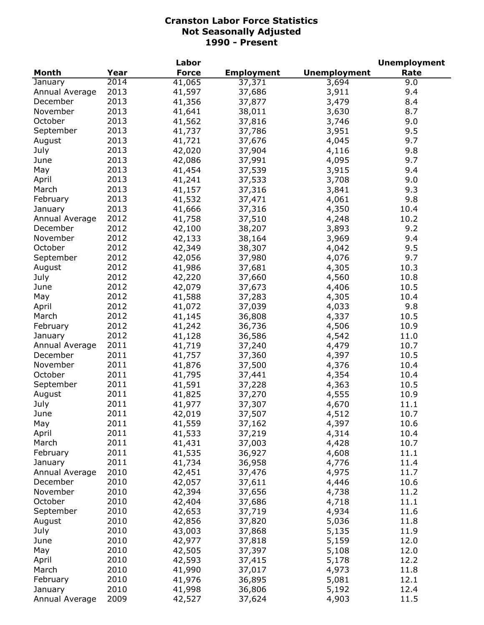|                |      | Labor        |                   |                     | <b>Unemployment</b> |
|----------------|------|--------------|-------------------|---------------------|---------------------|
| Month          | Year | <b>Force</b> | <b>Employment</b> | <b>Unemployment</b> | Rate                |
| January        | 2014 | 41,065       | 37,371            | 3,694               | 9.0                 |
| Annual Average | 2013 | 41,597       | 37,686            | 3,911               | 9.4                 |
| December       | 2013 | 41,356       | 37,877            | 3,479               | 8.4                 |
| November       | 2013 | 41,641       | 38,011            | 3,630               | 8.7                 |
| October        | 2013 | 41,562       | 37,816            | 3,746               | 9.0                 |
| September      | 2013 | 41,737       | 37,786            | 3,951               | 9.5                 |
| August         | 2013 | 41,721       | 37,676            | 4,045               | 9.7                 |
| July           | 2013 | 42,020       | 37,904            | 4,116               | 9.8                 |
| June           | 2013 | 42,086       | 37,991            | 4,095               | 9.7                 |
| May            | 2013 | 41,454       | 37,539            | 3,915               | 9.4                 |
| April          | 2013 | 41,241       | 37,533            | 3,708               | 9.0                 |
| March          | 2013 | 41,157       | 37,316            | 3,841               | 9.3                 |
| February       | 2013 | 41,532       | 37,471            | 4,061               | 9.8                 |
| January        | 2013 | 41,666       | 37,316            | 4,350               | 10.4                |
| Annual Average | 2012 | 41,758       | 37,510            | 4,248               | 10.2                |
| December       | 2012 | 42,100       | 38,207            | 3,893               | 9.2                 |
| November       | 2012 | 42,133       | 38,164            | 3,969               | 9.4                 |
| October        | 2012 | 42,349       | 38,307            | 4,042               | 9.5                 |
| September      | 2012 | 42,056       | 37,980            | 4,076               | 9.7                 |
| August         | 2012 | 41,986       | 37,681            | 4,305               | 10.3                |
| July           | 2012 | 42,220       | 37,660            | 4,560               | 10.8                |
| June           | 2012 | 42,079       | 37,673            | 4,406               | 10.5                |
| May            | 2012 | 41,588       | 37,283            | 4,305               | 10.4                |
| April          | 2012 | 41,072       | 37,039            | 4,033               | 9.8                 |
| March          | 2012 | 41,145       | 36,808            | 4,337               | 10.5                |
| February       | 2012 | 41,242       | 36,736            | 4,506               | 10.9                |
| January        | 2012 | 41,128       | 36,586            | 4,542               | 11.0                |
| Annual Average | 2011 | 41,719       | 37,240            | 4,479               | 10.7                |
| December       | 2011 | 41,757       | 37,360            | 4,397               | 10.5                |
| November       | 2011 | 41,876       | 37,500            | 4,376               | 10.4                |
| October        | 2011 | 41,795       | 37,441            | 4,354               | 10.4                |
| September      | 2011 | 41,591       | 37,228            | 4,363               | 10.5                |
| August         | 2011 | 41,825       | 37,270            | 4,555               | 10.9                |
| July           | 2011 | 41,977       | 37,307            | 4,670               | 11.1                |
| June           | 2011 | 42,019       | 37,507            | 4,512               | 10.7                |
| May            | 2011 | 41,559       | 37,162            | 4,397               | 10.6                |
| April          | 2011 | 41,533       | 37,219            | 4,314               | 10.4                |
| March          | 2011 | 41,431       | 37,003            | 4,428               | 10.7                |
| February       | 2011 | 41,535       | 36,927            | 4,608               | 11.1                |
| January        | 2011 | 41,734       | 36,958            | 4,776               | 11.4                |
| Annual Average | 2010 | 42,451       | 37,476            | 4,975               | 11.7                |
| December       | 2010 | 42,057       | 37,611            | 4,446               | 10.6                |
| November       | 2010 | 42,394       | 37,656            | 4,738               | 11.2                |
| October        | 2010 | 42,404       | 37,686            | 4,718               | 11.1                |
| September      | 2010 | 42,653       | 37,719            | 4,934               | 11.6                |
| August         | 2010 | 42,856       | 37,820            | 5,036               | 11.8                |
| July           | 2010 | 43,003       | 37,868            | 5,135               | 11.9                |
| June           | 2010 | 42,977       | 37,818            | 5,159               | 12.0                |
| May            | 2010 | 42,505       | 37,397            | 5,108               | 12.0                |
| April          | 2010 | 42,593       | 37,415            | 5,178               | 12.2                |
| March          | 2010 | 41,990       | 37,017            | 4,973               | 11.8                |
| February       | 2010 | 41,976       | 36,895            | 5,081               | 12.1                |
| January        | 2010 | 41,998       | 36,806            | 5,192               | 12.4                |
| Annual Average | 2009 | 42,527       | 37,624            | 4,903               | 11.5                |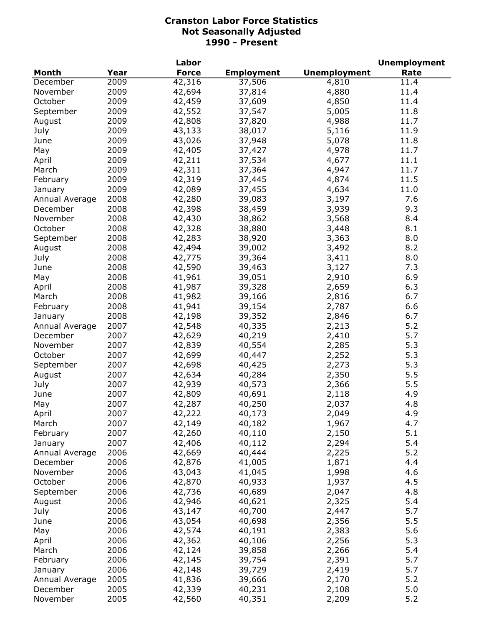| <b>Month</b><br>Year<br><b>Force</b><br><b>Employment</b><br><b>Unemployment</b><br>Rate<br>2009<br>42,316<br>37,506<br>4,810<br>11.4<br>December<br>2009<br>42,694<br>4,880<br>11.4<br>November<br>37,814<br>2009<br>October<br>42,459<br>37,609<br>4,850<br>11.4<br>2009<br>42,552<br>5,005<br>11.8<br>September<br>37,547<br>2009<br>42,808<br>37,820<br>11.7<br>4,988<br>August<br>2009<br>43,133<br>38,017<br>5,116<br>11.9<br>July<br>2009<br>43,026<br>37,948<br>5,078<br>11.8<br>June<br>2009<br>42,405<br>37,427<br>4,978<br>11.7<br>May<br>2009<br>42,211<br>37,534<br>4,677<br>11.1<br>April<br>2009<br>42,311<br>4,947<br>37,364<br>11.7<br>March<br>2009<br>42,319<br>4,874<br>37,445<br>11.5<br>February<br>2009<br>42,089<br>37,455<br>4,634<br>11.0<br>January<br>42,280<br>3,197<br>2008<br>39,083<br>7.6<br>Annual Average<br>2008<br>42,398<br>3,939<br>9.3<br>38,459<br>December<br>8.4<br>2008<br>42,430<br>38,862<br>3,568<br>November<br>2008<br>3,448<br>8.1<br>October<br>42,328<br>38,880<br>2008<br>42,283<br>8.0<br>September<br>38,920<br>3,363<br>2008<br>42,494<br>8.2<br>39,002<br>3,492<br>August<br>2008<br>8.0<br>42,775<br>39,364<br>3,411<br>July<br>2008<br>42,590<br>39,463<br>3,127<br>7.3<br>June<br>2008<br>41,961<br>39,051<br>2,910<br>6.9<br>May<br>2008<br>6.3<br>41,987<br>39,328<br>2,659<br>April<br>2008<br>41,982<br>39,166<br>2,816<br>6.7<br>March<br>2008<br>41,941<br>2,787<br>6.6<br>39,154<br>February<br>2008<br>2,846<br>42,198<br>39,352<br>6.7<br>January<br>2007<br>42,548<br>5.2<br>40,335<br>2,213<br>Annual Average<br>2007<br>2,410<br>5.7<br>December<br>42,629<br>40,219<br>2007<br>42,839<br>2,285<br>5.3<br>40,554<br>November<br>2007<br>42,699<br>2,252<br>5.3<br>October<br>40,447<br>2007<br>42,698<br>2,273<br>5.3<br>40,425<br>September<br>2007<br>2,350<br>5.5<br>42,634<br>40,284<br>August<br>2007<br>5.5<br>42,939<br>40,573<br>2,366<br>July<br>2007<br>42,809<br>40,691<br>4.9<br>June<br>2,118<br>2007<br>42,287<br>40,250<br>2,037<br>4.8<br>May<br>2007<br>4.9<br>April<br>42,222<br>40,173<br>2,049<br>2007<br>42,149<br>40,182<br>1,967<br>4.7<br>March<br>2007<br>5.1<br>42,260<br>40,110<br>2,150<br>February<br>2007<br>5.4<br>42,406<br>40,112<br>2,294<br>January<br>2006<br>5.2<br>42,669<br>40,444<br>2,225<br>Annual Average<br>4.4<br>2006<br>42,876<br>41,005<br>1,871<br>December<br>2006<br>4.6<br>43,043<br>41,045<br>1,998<br>November<br>4.5<br>October<br>2006<br>42,870<br>40,933<br>1,937<br>4.8<br>2006<br>42,736<br>40,689<br>2,047<br>September<br>42,946<br>2,325<br>5.4<br>2006<br>40,621<br>August<br>5.7<br>43,147<br>2,447<br>2006<br>40,700<br>July<br>2006<br>43,054<br>2,356<br>5.5<br>40,698<br>June<br>2006<br>42,574<br>2,383<br>5.6<br>40,191<br>May<br>42,362<br>2,256<br>2006<br>40,106<br>5.3<br>April<br>5.4<br>2006<br>42,124<br>39,858<br>2,266<br>March<br>5.7<br>2006<br>42,145<br>2,391<br>February<br>39,754<br>5.7<br>2006<br>42,148<br>39,729<br>2,419<br>January<br>5.2<br>2005<br>2,170<br>41,836<br>39,666<br>Annual Average<br>5.0<br>2005<br>42,339<br>December<br>40,231<br>2,108<br>2005<br>5.2<br>November<br>42,560<br>40,351<br>2,209 |  | Labor |  | <b>Unemployment</b> |
|--------------------------------------------------------------------------------------------------------------------------------------------------------------------------------------------------------------------------------------------------------------------------------------------------------------------------------------------------------------------------------------------------------------------------------------------------------------------------------------------------------------------------------------------------------------------------------------------------------------------------------------------------------------------------------------------------------------------------------------------------------------------------------------------------------------------------------------------------------------------------------------------------------------------------------------------------------------------------------------------------------------------------------------------------------------------------------------------------------------------------------------------------------------------------------------------------------------------------------------------------------------------------------------------------------------------------------------------------------------------------------------------------------------------------------------------------------------------------------------------------------------------------------------------------------------------------------------------------------------------------------------------------------------------------------------------------------------------------------------------------------------------------------------------------------------------------------------------------------------------------------------------------------------------------------------------------------------------------------------------------------------------------------------------------------------------------------------------------------------------------------------------------------------------------------------------------------------------------------------------------------------------------------------------------------------------------------------------------------------------------------------------------------------------------------------------------------------------------------------------------------------------------------------------------------------------------------------------------------------------------------------------------------------------------------------------------------------------------------------------------------------------------------------------------------------------------------------------------------------------------------------------------------------------------------------------------------------------------------------------------------------------------------------------------------------------------------------------------------------------------------------------------------------------------------------|--|-------|--|---------------------|
|                                                                                                                                                                                                                                                                                                                                                                                                                                                                                                                                                                                                                                                                                                                                                                                                                                                                                                                                                                                                                                                                                                                                                                                                                                                                                                                                                                                                                                                                                                                                                                                                                                                                                                                                                                                                                                                                                                                                                                                                                                                                                                                                                                                                                                                                                                                                                                                                                                                                                                                                                                                                                                                                                                                                                                                                                                                                                                                                                                                                                                                                                                                                                                                      |  |       |  |                     |
|                                                                                                                                                                                                                                                                                                                                                                                                                                                                                                                                                                                                                                                                                                                                                                                                                                                                                                                                                                                                                                                                                                                                                                                                                                                                                                                                                                                                                                                                                                                                                                                                                                                                                                                                                                                                                                                                                                                                                                                                                                                                                                                                                                                                                                                                                                                                                                                                                                                                                                                                                                                                                                                                                                                                                                                                                                                                                                                                                                                                                                                                                                                                                                                      |  |       |  |                     |
|                                                                                                                                                                                                                                                                                                                                                                                                                                                                                                                                                                                                                                                                                                                                                                                                                                                                                                                                                                                                                                                                                                                                                                                                                                                                                                                                                                                                                                                                                                                                                                                                                                                                                                                                                                                                                                                                                                                                                                                                                                                                                                                                                                                                                                                                                                                                                                                                                                                                                                                                                                                                                                                                                                                                                                                                                                                                                                                                                                                                                                                                                                                                                                                      |  |       |  |                     |
|                                                                                                                                                                                                                                                                                                                                                                                                                                                                                                                                                                                                                                                                                                                                                                                                                                                                                                                                                                                                                                                                                                                                                                                                                                                                                                                                                                                                                                                                                                                                                                                                                                                                                                                                                                                                                                                                                                                                                                                                                                                                                                                                                                                                                                                                                                                                                                                                                                                                                                                                                                                                                                                                                                                                                                                                                                                                                                                                                                                                                                                                                                                                                                                      |  |       |  |                     |
|                                                                                                                                                                                                                                                                                                                                                                                                                                                                                                                                                                                                                                                                                                                                                                                                                                                                                                                                                                                                                                                                                                                                                                                                                                                                                                                                                                                                                                                                                                                                                                                                                                                                                                                                                                                                                                                                                                                                                                                                                                                                                                                                                                                                                                                                                                                                                                                                                                                                                                                                                                                                                                                                                                                                                                                                                                                                                                                                                                                                                                                                                                                                                                                      |  |       |  |                     |
|                                                                                                                                                                                                                                                                                                                                                                                                                                                                                                                                                                                                                                                                                                                                                                                                                                                                                                                                                                                                                                                                                                                                                                                                                                                                                                                                                                                                                                                                                                                                                                                                                                                                                                                                                                                                                                                                                                                                                                                                                                                                                                                                                                                                                                                                                                                                                                                                                                                                                                                                                                                                                                                                                                                                                                                                                                                                                                                                                                                                                                                                                                                                                                                      |  |       |  |                     |
|                                                                                                                                                                                                                                                                                                                                                                                                                                                                                                                                                                                                                                                                                                                                                                                                                                                                                                                                                                                                                                                                                                                                                                                                                                                                                                                                                                                                                                                                                                                                                                                                                                                                                                                                                                                                                                                                                                                                                                                                                                                                                                                                                                                                                                                                                                                                                                                                                                                                                                                                                                                                                                                                                                                                                                                                                                                                                                                                                                                                                                                                                                                                                                                      |  |       |  |                     |
|                                                                                                                                                                                                                                                                                                                                                                                                                                                                                                                                                                                                                                                                                                                                                                                                                                                                                                                                                                                                                                                                                                                                                                                                                                                                                                                                                                                                                                                                                                                                                                                                                                                                                                                                                                                                                                                                                                                                                                                                                                                                                                                                                                                                                                                                                                                                                                                                                                                                                                                                                                                                                                                                                                                                                                                                                                                                                                                                                                                                                                                                                                                                                                                      |  |       |  |                     |
|                                                                                                                                                                                                                                                                                                                                                                                                                                                                                                                                                                                                                                                                                                                                                                                                                                                                                                                                                                                                                                                                                                                                                                                                                                                                                                                                                                                                                                                                                                                                                                                                                                                                                                                                                                                                                                                                                                                                                                                                                                                                                                                                                                                                                                                                                                                                                                                                                                                                                                                                                                                                                                                                                                                                                                                                                                                                                                                                                                                                                                                                                                                                                                                      |  |       |  |                     |
|                                                                                                                                                                                                                                                                                                                                                                                                                                                                                                                                                                                                                                                                                                                                                                                                                                                                                                                                                                                                                                                                                                                                                                                                                                                                                                                                                                                                                                                                                                                                                                                                                                                                                                                                                                                                                                                                                                                                                                                                                                                                                                                                                                                                                                                                                                                                                                                                                                                                                                                                                                                                                                                                                                                                                                                                                                                                                                                                                                                                                                                                                                                                                                                      |  |       |  |                     |
|                                                                                                                                                                                                                                                                                                                                                                                                                                                                                                                                                                                                                                                                                                                                                                                                                                                                                                                                                                                                                                                                                                                                                                                                                                                                                                                                                                                                                                                                                                                                                                                                                                                                                                                                                                                                                                                                                                                                                                                                                                                                                                                                                                                                                                                                                                                                                                                                                                                                                                                                                                                                                                                                                                                                                                                                                                                                                                                                                                                                                                                                                                                                                                                      |  |       |  |                     |
|                                                                                                                                                                                                                                                                                                                                                                                                                                                                                                                                                                                                                                                                                                                                                                                                                                                                                                                                                                                                                                                                                                                                                                                                                                                                                                                                                                                                                                                                                                                                                                                                                                                                                                                                                                                                                                                                                                                                                                                                                                                                                                                                                                                                                                                                                                                                                                                                                                                                                                                                                                                                                                                                                                                                                                                                                                                                                                                                                                                                                                                                                                                                                                                      |  |       |  |                     |
|                                                                                                                                                                                                                                                                                                                                                                                                                                                                                                                                                                                                                                                                                                                                                                                                                                                                                                                                                                                                                                                                                                                                                                                                                                                                                                                                                                                                                                                                                                                                                                                                                                                                                                                                                                                                                                                                                                                                                                                                                                                                                                                                                                                                                                                                                                                                                                                                                                                                                                                                                                                                                                                                                                                                                                                                                                                                                                                                                                                                                                                                                                                                                                                      |  |       |  |                     |
|                                                                                                                                                                                                                                                                                                                                                                                                                                                                                                                                                                                                                                                                                                                                                                                                                                                                                                                                                                                                                                                                                                                                                                                                                                                                                                                                                                                                                                                                                                                                                                                                                                                                                                                                                                                                                                                                                                                                                                                                                                                                                                                                                                                                                                                                                                                                                                                                                                                                                                                                                                                                                                                                                                                                                                                                                                                                                                                                                                                                                                                                                                                                                                                      |  |       |  |                     |
|                                                                                                                                                                                                                                                                                                                                                                                                                                                                                                                                                                                                                                                                                                                                                                                                                                                                                                                                                                                                                                                                                                                                                                                                                                                                                                                                                                                                                                                                                                                                                                                                                                                                                                                                                                                                                                                                                                                                                                                                                                                                                                                                                                                                                                                                                                                                                                                                                                                                                                                                                                                                                                                                                                                                                                                                                                                                                                                                                                                                                                                                                                                                                                                      |  |       |  |                     |
|                                                                                                                                                                                                                                                                                                                                                                                                                                                                                                                                                                                                                                                                                                                                                                                                                                                                                                                                                                                                                                                                                                                                                                                                                                                                                                                                                                                                                                                                                                                                                                                                                                                                                                                                                                                                                                                                                                                                                                                                                                                                                                                                                                                                                                                                                                                                                                                                                                                                                                                                                                                                                                                                                                                                                                                                                                                                                                                                                                                                                                                                                                                                                                                      |  |       |  |                     |
|                                                                                                                                                                                                                                                                                                                                                                                                                                                                                                                                                                                                                                                                                                                                                                                                                                                                                                                                                                                                                                                                                                                                                                                                                                                                                                                                                                                                                                                                                                                                                                                                                                                                                                                                                                                                                                                                                                                                                                                                                                                                                                                                                                                                                                                                                                                                                                                                                                                                                                                                                                                                                                                                                                                                                                                                                                                                                                                                                                                                                                                                                                                                                                                      |  |       |  |                     |
|                                                                                                                                                                                                                                                                                                                                                                                                                                                                                                                                                                                                                                                                                                                                                                                                                                                                                                                                                                                                                                                                                                                                                                                                                                                                                                                                                                                                                                                                                                                                                                                                                                                                                                                                                                                                                                                                                                                                                                                                                                                                                                                                                                                                                                                                                                                                                                                                                                                                                                                                                                                                                                                                                                                                                                                                                                                                                                                                                                                                                                                                                                                                                                                      |  |       |  |                     |
|                                                                                                                                                                                                                                                                                                                                                                                                                                                                                                                                                                                                                                                                                                                                                                                                                                                                                                                                                                                                                                                                                                                                                                                                                                                                                                                                                                                                                                                                                                                                                                                                                                                                                                                                                                                                                                                                                                                                                                                                                                                                                                                                                                                                                                                                                                                                                                                                                                                                                                                                                                                                                                                                                                                                                                                                                                                                                                                                                                                                                                                                                                                                                                                      |  |       |  |                     |
|                                                                                                                                                                                                                                                                                                                                                                                                                                                                                                                                                                                                                                                                                                                                                                                                                                                                                                                                                                                                                                                                                                                                                                                                                                                                                                                                                                                                                                                                                                                                                                                                                                                                                                                                                                                                                                                                                                                                                                                                                                                                                                                                                                                                                                                                                                                                                                                                                                                                                                                                                                                                                                                                                                                                                                                                                                                                                                                                                                                                                                                                                                                                                                                      |  |       |  |                     |
|                                                                                                                                                                                                                                                                                                                                                                                                                                                                                                                                                                                                                                                                                                                                                                                                                                                                                                                                                                                                                                                                                                                                                                                                                                                                                                                                                                                                                                                                                                                                                                                                                                                                                                                                                                                                                                                                                                                                                                                                                                                                                                                                                                                                                                                                                                                                                                                                                                                                                                                                                                                                                                                                                                                                                                                                                                                                                                                                                                                                                                                                                                                                                                                      |  |       |  |                     |
|                                                                                                                                                                                                                                                                                                                                                                                                                                                                                                                                                                                                                                                                                                                                                                                                                                                                                                                                                                                                                                                                                                                                                                                                                                                                                                                                                                                                                                                                                                                                                                                                                                                                                                                                                                                                                                                                                                                                                                                                                                                                                                                                                                                                                                                                                                                                                                                                                                                                                                                                                                                                                                                                                                                                                                                                                                                                                                                                                                                                                                                                                                                                                                                      |  |       |  |                     |
|                                                                                                                                                                                                                                                                                                                                                                                                                                                                                                                                                                                                                                                                                                                                                                                                                                                                                                                                                                                                                                                                                                                                                                                                                                                                                                                                                                                                                                                                                                                                                                                                                                                                                                                                                                                                                                                                                                                                                                                                                                                                                                                                                                                                                                                                                                                                                                                                                                                                                                                                                                                                                                                                                                                                                                                                                                                                                                                                                                                                                                                                                                                                                                                      |  |       |  |                     |
|                                                                                                                                                                                                                                                                                                                                                                                                                                                                                                                                                                                                                                                                                                                                                                                                                                                                                                                                                                                                                                                                                                                                                                                                                                                                                                                                                                                                                                                                                                                                                                                                                                                                                                                                                                                                                                                                                                                                                                                                                                                                                                                                                                                                                                                                                                                                                                                                                                                                                                                                                                                                                                                                                                                                                                                                                                                                                                                                                                                                                                                                                                                                                                                      |  |       |  |                     |
|                                                                                                                                                                                                                                                                                                                                                                                                                                                                                                                                                                                                                                                                                                                                                                                                                                                                                                                                                                                                                                                                                                                                                                                                                                                                                                                                                                                                                                                                                                                                                                                                                                                                                                                                                                                                                                                                                                                                                                                                                                                                                                                                                                                                                                                                                                                                                                                                                                                                                                                                                                                                                                                                                                                                                                                                                                                                                                                                                                                                                                                                                                                                                                                      |  |       |  |                     |
|                                                                                                                                                                                                                                                                                                                                                                                                                                                                                                                                                                                                                                                                                                                                                                                                                                                                                                                                                                                                                                                                                                                                                                                                                                                                                                                                                                                                                                                                                                                                                                                                                                                                                                                                                                                                                                                                                                                                                                                                                                                                                                                                                                                                                                                                                                                                                                                                                                                                                                                                                                                                                                                                                                                                                                                                                                                                                                                                                                                                                                                                                                                                                                                      |  |       |  |                     |
|                                                                                                                                                                                                                                                                                                                                                                                                                                                                                                                                                                                                                                                                                                                                                                                                                                                                                                                                                                                                                                                                                                                                                                                                                                                                                                                                                                                                                                                                                                                                                                                                                                                                                                                                                                                                                                                                                                                                                                                                                                                                                                                                                                                                                                                                                                                                                                                                                                                                                                                                                                                                                                                                                                                                                                                                                                                                                                                                                                                                                                                                                                                                                                                      |  |       |  |                     |
|                                                                                                                                                                                                                                                                                                                                                                                                                                                                                                                                                                                                                                                                                                                                                                                                                                                                                                                                                                                                                                                                                                                                                                                                                                                                                                                                                                                                                                                                                                                                                                                                                                                                                                                                                                                                                                                                                                                                                                                                                                                                                                                                                                                                                                                                                                                                                                                                                                                                                                                                                                                                                                                                                                                                                                                                                                                                                                                                                                                                                                                                                                                                                                                      |  |       |  |                     |
|                                                                                                                                                                                                                                                                                                                                                                                                                                                                                                                                                                                                                                                                                                                                                                                                                                                                                                                                                                                                                                                                                                                                                                                                                                                                                                                                                                                                                                                                                                                                                                                                                                                                                                                                                                                                                                                                                                                                                                                                                                                                                                                                                                                                                                                                                                                                                                                                                                                                                                                                                                                                                                                                                                                                                                                                                                                                                                                                                                                                                                                                                                                                                                                      |  |       |  |                     |
|                                                                                                                                                                                                                                                                                                                                                                                                                                                                                                                                                                                                                                                                                                                                                                                                                                                                                                                                                                                                                                                                                                                                                                                                                                                                                                                                                                                                                                                                                                                                                                                                                                                                                                                                                                                                                                                                                                                                                                                                                                                                                                                                                                                                                                                                                                                                                                                                                                                                                                                                                                                                                                                                                                                                                                                                                                                                                                                                                                                                                                                                                                                                                                                      |  |       |  |                     |
|                                                                                                                                                                                                                                                                                                                                                                                                                                                                                                                                                                                                                                                                                                                                                                                                                                                                                                                                                                                                                                                                                                                                                                                                                                                                                                                                                                                                                                                                                                                                                                                                                                                                                                                                                                                                                                                                                                                                                                                                                                                                                                                                                                                                                                                                                                                                                                                                                                                                                                                                                                                                                                                                                                                                                                                                                                                                                                                                                                                                                                                                                                                                                                                      |  |       |  |                     |
|                                                                                                                                                                                                                                                                                                                                                                                                                                                                                                                                                                                                                                                                                                                                                                                                                                                                                                                                                                                                                                                                                                                                                                                                                                                                                                                                                                                                                                                                                                                                                                                                                                                                                                                                                                                                                                                                                                                                                                                                                                                                                                                                                                                                                                                                                                                                                                                                                                                                                                                                                                                                                                                                                                                                                                                                                                                                                                                                                                                                                                                                                                                                                                                      |  |       |  |                     |
|                                                                                                                                                                                                                                                                                                                                                                                                                                                                                                                                                                                                                                                                                                                                                                                                                                                                                                                                                                                                                                                                                                                                                                                                                                                                                                                                                                                                                                                                                                                                                                                                                                                                                                                                                                                                                                                                                                                                                                                                                                                                                                                                                                                                                                                                                                                                                                                                                                                                                                                                                                                                                                                                                                                                                                                                                                                                                                                                                                                                                                                                                                                                                                                      |  |       |  |                     |
|                                                                                                                                                                                                                                                                                                                                                                                                                                                                                                                                                                                                                                                                                                                                                                                                                                                                                                                                                                                                                                                                                                                                                                                                                                                                                                                                                                                                                                                                                                                                                                                                                                                                                                                                                                                                                                                                                                                                                                                                                                                                                                                                                                                                                                                                                                                                                                                                                                                                                                                                                                                                                                                                                                                                                                                                                                                                                                                                                                                                                                                                                                                                                                                      |  |       |  |                     |
|                                                                                                                                                                                                                                                                                                                                                                                                                                                                                                                                                                                                                                                                                                                                                                                                                                                                                                                                                                                                                                                                                                                                                                                                                                                                                                                                                                                                                                                                                                                                                                                                                                                                                                                                                                                                                                                                                                                                                                                                                                                                                                                                                                                                                                                                                                                                                                                                                                                                                                                                                                                                                                                                                                                                                                                                                                                                                                                                                                                                                                                                                                                                                                                      |  |       |  |                     |
|                                                                                                                                                                                                                                                                                                                                                                                                                                                                                                                                                                                                                                                                                                                                                                                                                                                                                                                                                                                                                                                                                                                                                                                                                                                                                                                                                                                                                                                                                                                                                                                                                                                                                                                                                                                                                                                                                                                                                                                                                                                                                                                                                                                                                                                                                                                                                                                                                                                                                                                                                                                                                                                                                                                                                                                                                                                                                                                                                                                                                                                                                                                                                                                      |  |       |  |                     |
|                                                                                                                                                                                                                                                                                                                                                                                                                                                                                                                                                                                                                                                                                                                                                                                                                                                                                                                                                                                                                                                                                                                                                                                                                                                                                                                                                                                                                                                                                                                                                                                                                                                                                                                                                                                                                                                                                                                                                                                                                                                                                                                                                                                                                                                                                                                                                                                                                                                                                                                                                                                                                                                                                                                                                                                                                                                                                                                                                                                                                                                                                                                                                                                      |  |       |  |                     |
|                                                                                                                                                                                                                                                                                                                                                                                                                                                                                                                                                                                                                                                                                                                                                                                                                                                                                                                                                                                                                                                                                                                                                                                                                                                                                                                                                                                                                                                                                                                                                                                                                                                                                                                                                                                                                                                                                                                                                                                                                                                                                                                                                                                                                                                                                                                                                                                                                                                                                                                                                                                                                                                                                                                                                                                                                                                                                                                                                                                                                                                                                                                                                                                      |  |       |  |                     |
|                                                                                                                                                                                                                                                                                                                                                                                                                                                                                                                                                                                                                                                                                                                                                                                                                                                                                                                                                                                                                                                                                                                                                                                                                                                                                                                                                                                                                                                                                                                                                                                                                                                                                                                                                                                                                                                                                                                                                                                                                                                                                                                                                                                                                                                                                                                                                                                                                                                                                                                                                                                                                                                                                                                                                                                                                                                                                                                                                                                                                                                                                                                                                                                      |  |       |  |                     |
|                                                                                                                                                                                                                                                                                                                                                                                                                                                                                                                                                                                                                                                                                                                                                                                                                                                                                                                                                                                                                                                                                                                                                                                                                                                                                                                                                                                                                                                                                                                                                                                                                                                                                                                                                                                                                                                                                                                                                                                                                                                                                                                                                                                                                                                                                                                                                                                                                                                                                                                                                                                                                                                                                                                                                                                                                                                                                                                                                                                                                                                                                                                                                                                      |  |       |  |                     |
|                                                                                                                                                                                                                                                                                                                                                                                                                                                                                                                                                                                                                                                                                                                                                                                                                                                                                                                                                                                                                                                                                                                                                                                                                                                                                                                                                                                                                                                                                                                                                                                                                                                                                                                                                                                                                                                                                                                                                                                                                                                                                                                                                                                                                                                                                                                                                                                                                                                                                                                                                                                                                                                                                                                                                                                                                                                                                                                                                                                                                                                                                                                                                                                      |  |       |  |                     |
|                                                                                                                                                                                                                                                                                                                                                                                                                                                                                                                                                                                                                                                                                                                                                                                                                                                                                                                                                                                                                                                                                                                                                                                                                                                                                                                                                                                                                                                                                                                                                                                                                                                                                                                                                                                                                                                                                                                                                                                                                                                                                                                                                                                                                                                                                                                                                                                                                                                                                                                                                                                                                                                                                                                                                                                                                                                                                                                                                                                                                                                                                                                                                                                      |  |       |  |                     |
|                                                                                                                                                                                                                                                                                                                                                                                                                                                                                                                                                                                                                                                                                                                                                                                                                                                                                                                                                                                                                                                                                                                                                                                                                                                                                                                                                                                                                                                                                                                                                                                                                                                                                                                                                                                                                                                                                                                                                                                                                                                                                                                                                                                                                                                                                                                                                                                                                                                                                                                                                                                                                                                                                                                                                                                                                                                                                                                                                                                                                                                                                                                                                                                      |  |       |  |                     |
|                                                                                                                                                                                                                                                                                                                                                                                                                                                                                                                                                                                                                                                                                                                                                                                                                                                                                                                                                                                                                                                                                                                                                                                                                                                                                                                                                                                                                                                                                                                                                                                                                                                                                                                                                                                                                                                                                                                                                                                                                                                                                                                                                                                                                                                                                                                                                                                                                                                                                                                                                                                                                                                                                                                                                                                                                                                                                                                                                                                                                                                                                                                                                                                      |  |       |  |                     |
|                                                                                                                                                                                                                                                                                                                                                                                                                                                                                                                                                                                                                                                                                                                                                                                                                                                                                                                                                                                                                                                                                                                                                                                                                                                                                                                                                                                                                                                                                                                                                                                                                                                                                                                                                                                                                                                                                                                                                                                                                                                                                                                                                                                                                                                                                                                                                                                                                                                                                                                                                                                                                                                                                                                                                                                                                                                                                                                                                                                                                                                                                                                                                                                      |  |       |  |                     |
|                                                                                                                                                                                                                                                                                                                                                                                                                                                                                                                                                                                                                                                                                                                                                                                                                                                                                                                                                                                                                                                                                                                                                                                                                                                                                                                                                                                                                                                                                                                                                                                                                                                                                                                                                                                                                                                                                                                                                                                                                                                                                                                                                                                                                                                                                                                                                                                                                                                                                                                                                                                                                                                                                                                                                                                                                                                                                                                                                                                                                                                                                                                                                                                      |  |       |  |                     |
|                                                                                                                                                                                                                                                                                                                                                                                                                                                                                                                                                                                                                                                                                                                                                                                                                                                                                                                                                                                                                                                                                                                                                                                                                                                                                                                                                                                                                                                                                                                                                                                                                                                                                                                                                                                                                                                                                                                                                                                                                                                                                                                                                                                                                                                                                                                                                                                                                                                                                                                                                                                                                                                                                                                                                                                                                                                                                                                                                                                                                                                                                                                                                                                      |  |       |  |                     |
|                                                                                                                                                                                                                                                                                                                                                                                                                                                                                                                                                                                                                                                                                                                                                                                                                                                                                                                                                                                                                                                                                                                                                                                                                                                                                                                                                                                                                                                                                                                                                                                                                                                                                                                                                                                                                                                                                                                                                                                                                                                                                                                                                                                                                                                                                                                                                                                                                                                                                                                                                                                                                                                                                                                                                                                                                                                                                                                                                                                                                                                                                                                                                                                      |  |       |  |                     |
|                                                                                                                                                                                                                                                                                                                                                                                                                                                                                                                                                                                                                                                                                                                                                                                                                                                                                                                                                                                                                                                                                                                                                                                                                                                                                                                                                                                                                                                                                                                                                                                                                                                                                                                                                                                                                                                                                                                                                                                                                                                                                                                                                                                                                                                                                                                                                                                                                                                                                                                                                                                                                                                                                                                                                                                                                                                                                                                                                                                                                                                                                                                                                                                      |  |       |  |                     |
|                                                                                                                                                                                                                                                                                                                                                                                                                                                                                                                                                                                                                                                                                                                                                                                                                                                                                                                                                                                                                                                                                                                                                                                                                                                                                                                                                                                                                                                                                                                                                                                                                                                                                                                                                                                                                                                                                                                                                                                                                                                                                                                                                                                                                                                                                                                                                                                                                                                                                                                                                                                                                                                                                                                                                                                                                                                                                                                                                                                                                                                                                                                                                                                      |  |       |  |                     |
|                                                                                                                                                                                                                                                                                                                                                                                                                                                                                                                                                                                                                                                                                                                                                                                                                                                                                                                                                                                                                                                                                                                                                                                                                                                                                                                                                                                                                                                                                                                                                                                                                                                                                                                                                                                                                                                                                                                                                                                                                                                                                                                                                                                                                                                                                                                                                                                                                                                                                                                                                                                                                                                                                                                                                                                                                                                                                                                                                                                                                                                                                                                                                                                      |  |       |  |                     |
|                                                                                                                                                                                                                                                                                                                                                                                                                                                                                                                                                                                                                                                                                                                                                                                                                                                                                                                                                                                                                                                                                                                                                                                                                                                                                                                                                                                                                                                                                                                                                                                                                                                                                                                                                                                                                                                                                                                                                                                                                                                                                                                                                                                                                                                                                                                                                                                                                                                                                                                                                                                                                                                                                                                                                                                                                                                                                                                                                                                                                                                                                                                                                                                      |  |       |  |                     |
|                                                                                                                                                                                                                                                                                                                                                                                                                                                                                                                                                                                                                                                                                                                                                                                                                                                                                                                                                                                                                                                                                                                                                                                                                                                                                                                                                                                                                                                                                                                                                                                                                                                                                                                                                                                                                                                                                                                                                                                                                                                                                                                                                                                                                                                                                                                                                                                                                                                                                                                                                                                                                                                                                                                                                                                                                                                                                                                                                                                                                                                                                                                                                                                      |  |       |  |                     |
|                                                                                                                                                                                                                                                                                                                                                                                                                                                                                                                                                                                                                                                                                                                                                                                                                                                                                                                                                                                                                                                                                                                                                                                                                                                                                                                                                                                                                                                                                                                                                                                                                                                                                                                                                                                                                                                                                                                                                                                                                                                                                                                                                                                                                                                                                                                                                                                                                                                                                                                                                                                                                                                                                                                                                                                                                                                                                                                                                                                                                                                                                                                                                                                      |  |       |  |                     |
|                                                                                                                                                                                                                                                                                                                                                                                                                                                                                                                                                                                                                                                                                                                                                                                                                                                                                                                                                                                                                                                                                                                                                                                                                                                                                                                                                                                                                                                                                                                                                                                                                                                                                                                                                                                                                                                                                                                                                                                                                                                                                                                                                                                                                                                                                                                                                                                                                                                                                                                                                                                                                                                                                                                                                                                                                                                                                                                                                                                                                                                                                                                                                                                      |  |       |  |                     |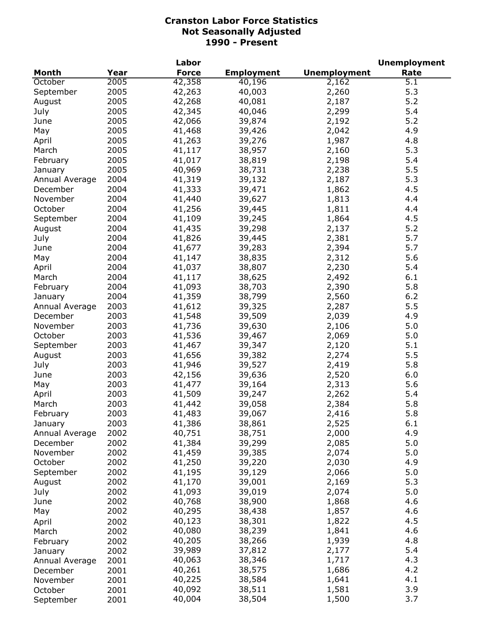|                           |      | Labor            |                   |                     | <b>Unemployment</b> |
|---------------------------|------|------------------|-------------------|---------------------|---------------------|
| <b>Month</b>              | Year | <b>Force</b>     | <b>Employment</b> | <b>Unemployment</b> | Rate                |
| October                   | 2005 | 42,358           | 40,196            | 2,162               | 5.1                 |
| September                 | 2005 | 42,263           | 40,003            | 2,260               | 5.3                 |
| August                    | 2005 | 42,268           | 40,081            | 2,187               | 5.2                 |
| July                      | 2005 | 42,345           | 40,046            | 2,299               | 5.4                 |
| June                      | 2005 | 42,066           | 39,874            | 2,192               | 5.2                 |
| May                       | 2005 | 41,468           | 39,426            | 2,042               | 4.9                 |
| April                     | 2005 | 41,263           | 39,276            | 1,987               | 4.8                 |
| March                     | 2005 | 41,117           | 38,957            | 2,160               | 5.3                 |
| February                  | 2005 | 41,017           | 38,819            | 2,198               | 5.4                 |
| January                   | 2005 | 40,969           | 38,731            | 2,238               | 5.5                 |
| Annual Average            | 2004 | 41,319           | 39,132            | 2,187               | 5.3                 |
| December                  | 2004 | 41,333           | 39,471            | 1,862               | 4.5                 |
| November                  | 2004 | 41,440           | 39,627            | 1,813               | 4.4                 |
| October                   | 2004 | 41,256           | 39,445            | 1,811               | 4.4                 |
| September                 | 2004 | 41,109           | 39,245            | 1,864               | 4.5                 |
| August                    | 2004 | 41,435           | 39,298            | 2,137               | 5.2                 |
| July                      | 2004 | 41,826           | 39,445            | 2,381               | 5.7                 |
| June                      | 2004 | 41,677           | 39,283            | 2,394               | 5.7                 |
| May                       | 2004 | 41,147           | 38,835            | 2,312               | 5.6                 |
| April                     | 2004 | 41,037           | 38,807            | 2,230               | 5.4                 |
| March                     | 2004 | 41,117           | 38,625            | 2,492               | 6.1                 |
| February                  | 2004 | 41,093           | 38,703            | 2,390               | 5.8                 |
| January                   | 2004 | 41,359           | 38,799            | 2,560               | 6.2                 |
| Annual Average            | 2003 | 41,612           | 39,325            | 2,287               | 5.5                 |
| December                  | 2003 | 41,548           | 39,509            | 2,039               | 4.9                 |
| November                  | 2003 | 41,736           | 39,630            | 2,106               | 5.0                 |
| October                   | 2003 | 41,536           | 39,467            | 2,069               | 5.0                 |
| September                 | 2003 | 41,467           | 39,347            | 2,120               | 5.1                 |
| August                    | 2003 | 41,656           | 39,382            | 2,274               | 5.5                 |
| July                      | 2003 | 41,946           | 39,527            | 2,419               | 5.8                 |
| June                      | 2003 | 42,156           | 39,636            | 2,520               | 6.0                 |
| May                       | 2003 | 41,477           | 39,164            | 2,313               | 5.6                 |
| April                     | 2003 | 41,509           | 39,247            | 2,262               | 5.4                 |
| March                     | 2003 | 41,442           | 39,058            | 2,384               | 5.8                 |
| February                  | 2003 |                  |                   |                     | 5.8                 |
|                           | 2003 | 41,483<br>41,386 | 39,067<br>38,861  | 2,416<br>2,525      | 6.1                 |
| January<br>Annual Average | 2002 | 40,751           |                   |                     | 4.9                 |
|                           | 2002 | 41,384           | 38,751<br>39,299  | 2,000               | 5.0                 |
| December                  | 2002 | 41,459           | 39,385            | 2,085               | 5.0                 |
| November<br>October       | 2002 | 41,250           | 39,220            | 2,074<br>2,030      | 4.9                 |
| September                 | 2002 | 41,195           | 39,129            | 2,066               | 5.0                 |
|                           | 2002 | 41,170           | 39,001            | 2,169               | 5.3                 |
| August<br>July            | 2002 | 41,093           | 39,019            | 2,074               | 5.0                 |
| June                      | 2002 | 40,768           | 38,900            | 1,868               | 4.6                 |
|                           |      |                  |                   |                     | 4.6                 |
| May                       | 2002 | 40,295           | 38,438            | 1,857               | 4.5                 |
| April                     | 2002 | 40,123           | 38,301            | 1,822               | 4.6                 |
| March                     | 2002 | 40,080           | 38,239            | 1,841               |                     |
| February                  | 2002 | 40,205           | 38,266            | 1,939               | 4.8                 |
| January                   | 2002 | 39,989           | 37,812            | 2,177               | 5.4                 |
| Annual Average            | 2001 | 40,063           | 38,346            | 1,717               | 4.3                 |
| December                  | 2001 | 40,261           | 38,575            | 1,686               | 4.2                 |
| November                  | 2001 | 40,225           | 38,584            | 1,641               | 4.1                 |
| October                   | 2001 | 40,092           | 38,511            | 1,581               | 3.9                 |
| September                 | 2001 | 40,004           | 38,504            | 1,500               | 3.7                 |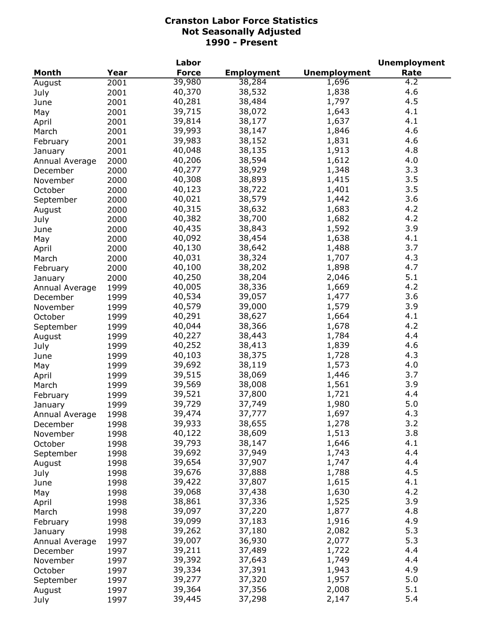|                |      | Labor        |                   |                     | <b>Unemployment</b> |
|----------------|------|--------------|-------------------|---------------------|---------------------|
| <b>Month</b>   | Year | <b>Force</b> | <b>Employment</b> | <b>Unemployment</b> | Rate                |
| August         | 2001 | 39,980       | 38,284            | 1,696               | 4.2                 |
| July           | 2001 | 40,370       | 38,532            | 1,838               | 4.6                 |
| June           | 2001 | 40,281       | 38,484            | 1,797               | 4.5                 |
| May            | 2001 | 39,715       | 38,072            | 1,643               | 4.1                 |
| April          | 2001 | 39,814       | 38,177            | 1,637               | 4.1                 |
| March          | 2001 | 39,993       | 38,147            | 1,846               | 4.6                 |
| February       | 2001 | 39,983       | 38,152            | 1,831               | 4.6                 |
| January        | 2001 | 40,048       | 38,135            | 1,913               | 4.8                 |
| Annual Average | 2000 | 40,206       | 38,594            | 1,612               | 4.0                 |
| December       | 2000 | 40,277       | 38,929            | 1,348               | 3.3                 |
| November       | 2000 | 40,308       | 38,893            | 1,415               | 3.5                 |
| October        |      | 40,123       | 38,722            | 1,401               | 3.5                 |
|                | 2000 | 40,021       | 38,579            | 1,442               | 3.6                 |
| September      | 2000 |              |                   |                     |                     |
| August         | 2000 | 40,315       | 38,632            | 1,683               | 4.2                 |
| July           | 2000 | 40,382       | 38,700            | 1,682               | 4.2                 |
| June           | 2000 | 40,435       | 38,843            | 1,592               | 3.9                 |
| May            | 2000 | 40,092       | 38,454            | 1,638               | 4.1                 |
| April          | 2000 | 40,130       | 38,642            | 1,488               | 3.7                 |
| March          | 2000 | 40,031       | 38,324            | 1,707               | 4.3                 |
| February       | 2000 | 40,100       | 38,202            | 1,898               | 4.7                 |
| January        | 2000 | 40,250       | 38,204            | 2,046               | 5.1                 |
| Annual Average | 1999 | 40,005       | 38,336            | 1,669               | 4.2                 |
| December       | 1999 | 40,534       | 39,057            | 1,477               | 3.6                 |
| November       | 1999 | 40,579       | 39,000            | 1,579               | 3.9                 |
| October        | 1999 | 40,291       | 38,627            | 1,664               | 4.1                 |
| September      | 1999 | 40,044       | 38,366            | 1,678               | 4.2                 |
| August         | 1999 | 40,227       | 38,443            | 1,784               | 4.4                 |
| July           | 1999 | 40,252       | 38,413            | 1,839               | 4.6                 |
| June           | 1999 | 40,103       | 38,375            | 1,728               | 4.3                 |
| May            | 1999 | 39,692       | 38,119            | 1,573               | 4.0                 |
| April          | 1999 | 39,515       | 38,069            | 1,446               | 3.7                 |
| March          | 1999 | 39,569       | 38,008            | 1,561               | 3.9                 |
| February       | 1999 | 39,521       | 37,800            | 1,721               | 4.4                 |
| January        | 1999 | 39,729       | 37,749            | 1,980               | 5.0                 |
| Annual Average | 1998 | 39,474       | 37,777            | 1,697               | 4.3                 |
| December       | 1998 | 39,933       | 38,655            | 1,278               | 3.2                 |
| November       | 1998 | 40,122       | 38,609            | 1,513               | 3.8                 |
| October        | 1998 | 39,793       | 38,147            | 1,646               | 4.1                 |
| September      | 1998 | 39,692       | 37,949            | 1,743               | 4.4                 |
| August         | 1998 | 39,654       | 37,907            | 1,747               | 4.4                 |
| July           | 1998 | 39,676       | 37,888            | 1,788               | 4.5                 |
| June           | 1998 | 39,422       | 37,807            | 1,615               | 4.1                 |
| May            | 1998 | 39,068       | 37,438            | 1,630               | 4.2                 |
|                | 1998 | 38,861       | 37,336            | 1,525               | 3.9                 |
| April          |      | 39,097       | 37,220            | 1,877               | 4.8                 |
| March          | 1998 | 39,099       | 37,183            | 1,916               | 4.9                 |
| February       | 1998 |              |                   |                     | 5.3                 |
| January        | 1998 | 39,262       | 37,180            | 2,082               |                     |
| Annual Average | 1997 | 39,007       | 36,930            | 2,077               | 5.3                 |
| December       | 1997 | 39,211       | 37,489            | 1,722               | 4.4                 |
| November       | 1997 | 39,392       | 37,643            | 1,749               | 4.4                 |
| October        | 1997 | 39,334       | 37,391            | 1,943               | 4.9                 |
| September      | 1997 | 39,277       | 37,320            | 1,957               | 5.0                 |
| August         | 1997 | 39,364       | 37,356            | 2,008               | 5.1                 |
| July           | 1997 | 39,445       | 37,298            | 2,147               | 5.4                 |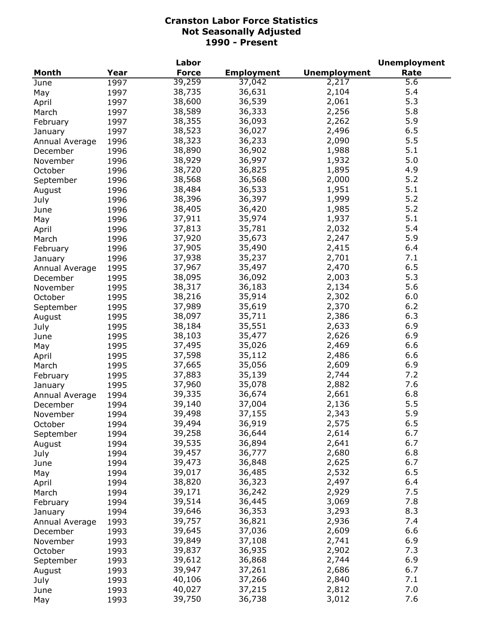|                |      | Labor        |                   |                     | <b>Unemployment</b> |
|----------------|------|--------------|-------------------|---------------------|---------------------|
| <b>Month</b>   | Year | <b>Force</b> | <b>Employment</b> | <b>Unemployment</b> | Rate                |
| June           | 1997 | 39,259       | 37,042            | 2,217               | 5.6                 |
| May            | 1997 | 38,735       | 36,631            | 2,104               | 5.4                 |
| April          | 1997 | 38,600       | 36,539            | 2,061               | 5.3                 |
| March          | 1997 | 38,589       | 36,333            | 2,256               | 5.8                 |
| February       | 1997 | 38,355       | 36,093            | 2,262               | 5.9                 |
| January        | 1997 | 38,523       | 36,027            | 2,496               | 6.5                 |
| Annual Average | 1996 | 38,323       | 36,233            | 2,090               | 5.5                 |
| December       | 1996 | 38,890       | 36,902            | 1,988               | 5.1                 |
| November       | 1996 | 38,929       | 36,997            | 1,932               | 5.0                 |
|                |      | 38,720       | 36,825            | 1,895               | 4.9                 |
| October        | 1996 | 38,568       | 36,568            | 2,000               | 5.2                 |
| September      | 1996 |              |                   |                     |                     |
| August         | 1996 | 38,484       | 36,533            | 1,951               | 5.1                 |
| July           | 1996 | 38,396       | 36,397            | 1,999               | 5.2                 |
| June           | 1996 | 38,405       | 36,420            | 1,985               | 5.2                 |
| May            | 1996 | 37,911       | 35,974            | 1,937               | 5.1                 |
| April          | 1996 | 37,813       | 35,781            | 2,032               | 5.4                 |
| March          | 1996 | 37,920       | 35,673            | 2,247               | 5.9                 |
| February       | 1996 | 37,905       | 35,490            | 2,415               | 6.4                 |
| January        | 1996 | 37,938       | 35,237            | 2,701               | 7.1                 |
| Annual Average | 1995 | 37,967       | 35,497            | 2,470               | 6.5                 |
| December       | 1995 | 38,095       | 36,092            | 2,003               | 5.3                 |
| November       | 1995 | 38,317       | 36,183            | 2,134               | 5.6                 |
| October        | 1995 | 38,216       | 35,914            | 2,302               | 6.0                 |
| September      | 1995 | 37,989       | 35,619            | 2,370               | 6.2                 |
| August         | 1995 | 38,097       | 35,711            | 2,386               | 6.3                 |
| July           | 1995 | 38,184       | 35,551            | 2,633               | 6.9                 |
| June           | 1995 | 38,103       | 35,477            | 2,626               | 6.9                 |
| May            | 1995 | 37,495       | 35,026            | 2,469               | 6.6                 |
| April          | 1995 | 37,598       | 35,112            | 2,486               | 6.6                 |
| March          | 1995 | 37,665       | 35,056            | 2,609               | 6.9                 |
| February       | 1995 | 37,883       | 35,139            | 2,744               | 7.2                 |
| January        | 1995 | 37,960       | 35,078            | 2,882               | 7.6                 |
| Annual Average | 1994 | 39,335       | 36,674            | 2,661               | 6.8                 |
|                | 1994 | 39,140       | 37,004            | 2,136               | 5.5                 |
| December       |      |              |                   |                     | 5.9                 |
| November       | 1994 | 39,498       | 37,155            | 2,343               | 6.5                 |
| October        | 1994 | 39,494       | 36,919            | 2,575               | 6.7                 |
| September      | 1994 | 39,258       | 36,644            | 2,614               |                     |
| August         | 1994 | 39,535       | 36,894            | 2,641               | 6.7                 |
| July           | 1994 | 39,457       | 36,777            | 2,680               | 6.8                 |
| June           | 1994 | 39,473       | 36,848            | 2,625               | 6.7                 |
| May            | 1994 | 39,017       | 36,485            | 2,532               | 6.5                 |
| April          | 1994 | 38,820       | 36,323            | 2,497               | 6.4                 |
| March          | 1994 | 39,171       | 36,242            | 2,929               | 7.5                 |
| February       | 1994 | 39,514       | 36,445            | 3,069               | 7.8                 |
| January        | 1994 | 39,646       | 36,353            | 3,293               | 8.3                 |
| Annual Average | 1993 | 39,757       | 36,821            | 2,936               | 7.4                 |
| December       | 1993 | 39,645       | 37,036            | 2,609               | 6.6                 |
| November       | 1993 | 39,849       | 37,108            | 2,741               | 6.9                 |
| October        | 1993 | 39,837       | 36,935            | 2,902               | 7.3                 |
| September      | 1993 | 39,612       | 36,868            | 2,744               | 6.9                 |
| August         | 1993 | 39,947       | 37,261            | 2,686               | 6.7                 |
| July           | 1993 | 40,106       | 37,266            | 2,840               | 7.1                 |
| June           | 1993 | 40,027       | 37,215            | 2,812               | 7.0                 |
| May            | 1993 | 39,750       | 36,738            | 3,012               | 7.6                 |